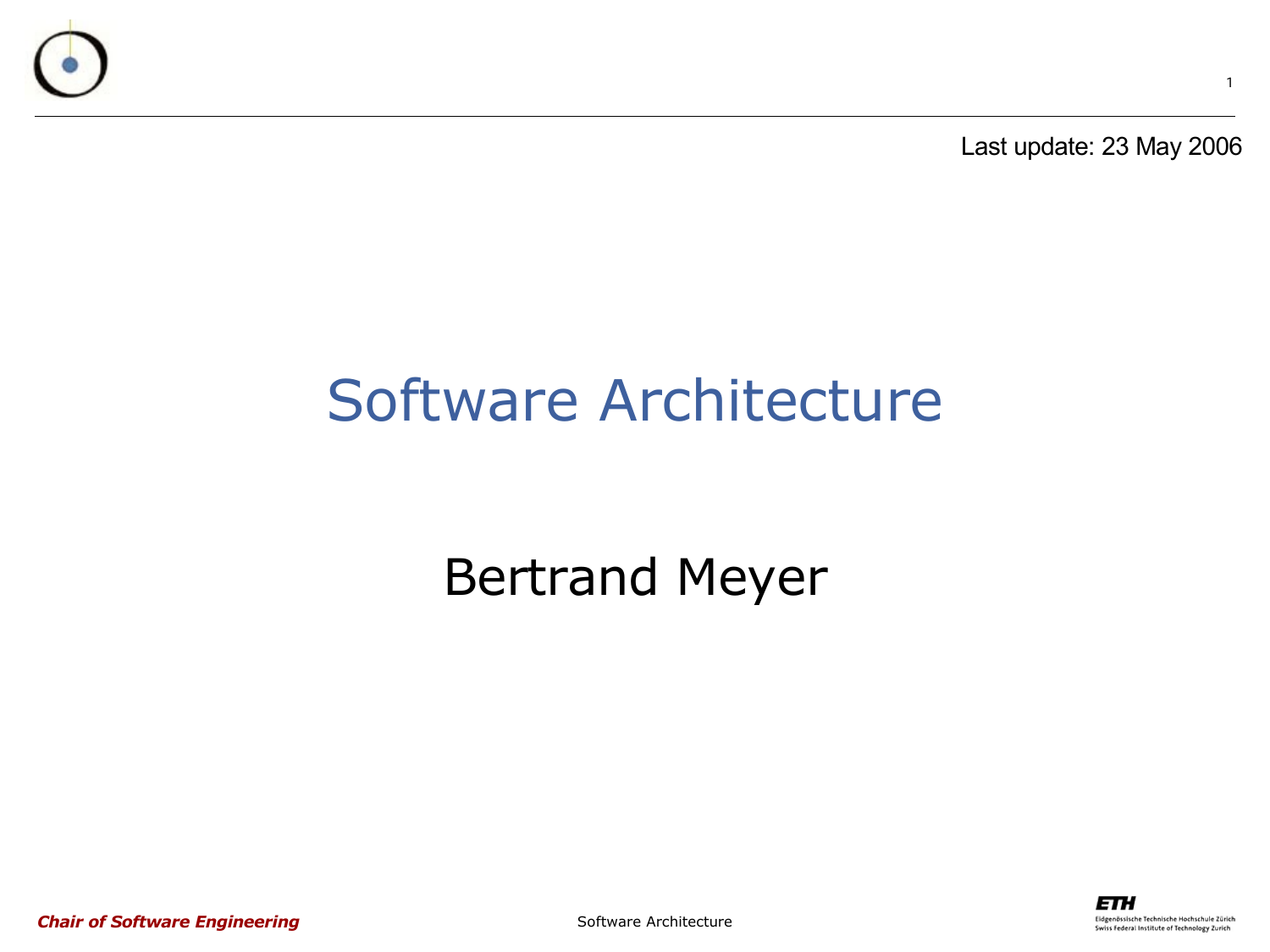

Last update: 23 May 2006

#### Software Architecture

#### Bertrand Meyer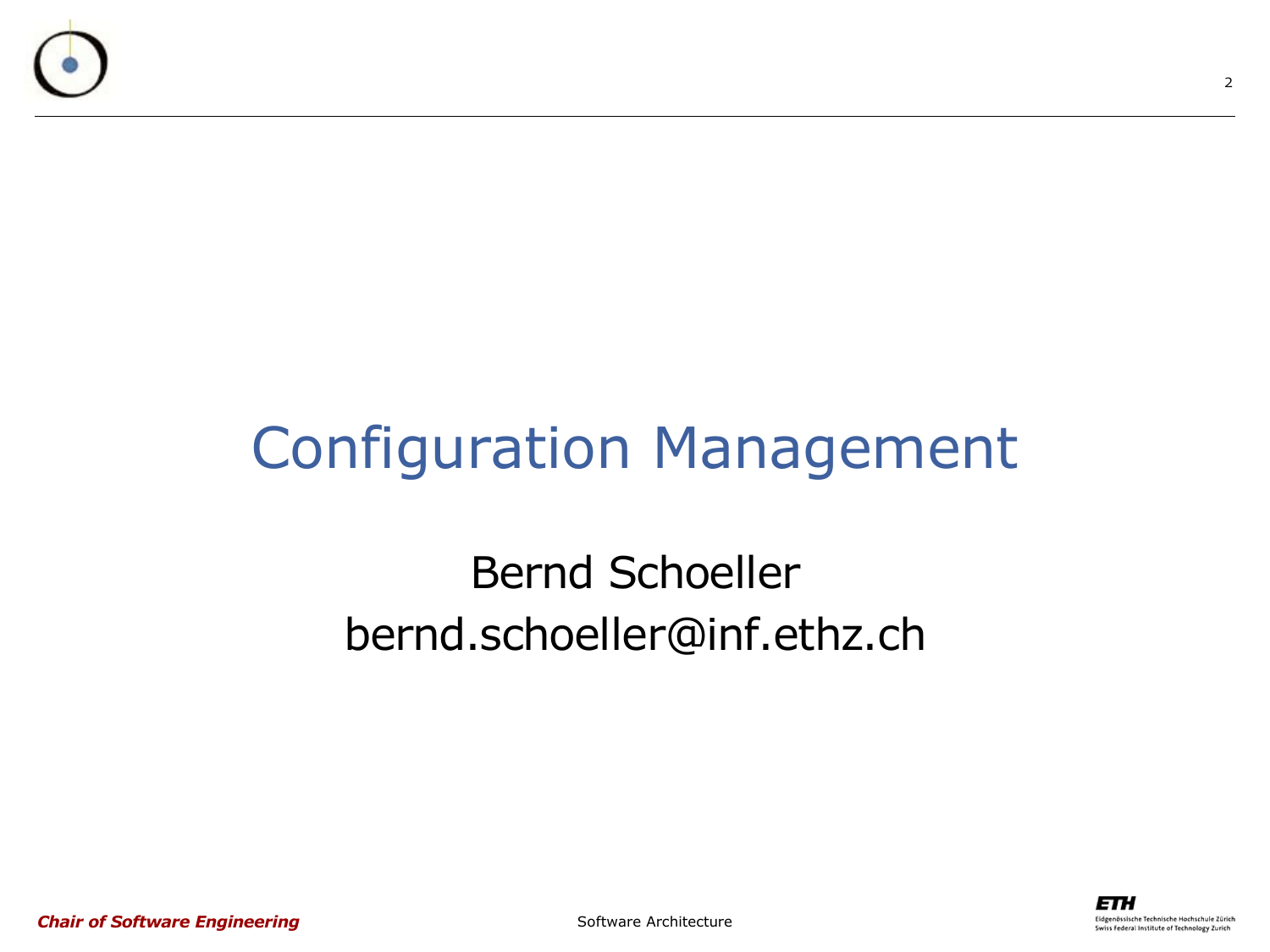

#### Configuration Management

#### Bernd Schoeller bernd.schoeller@inf.ethz.ch



*Chair of Software Engineering*

Software Architecture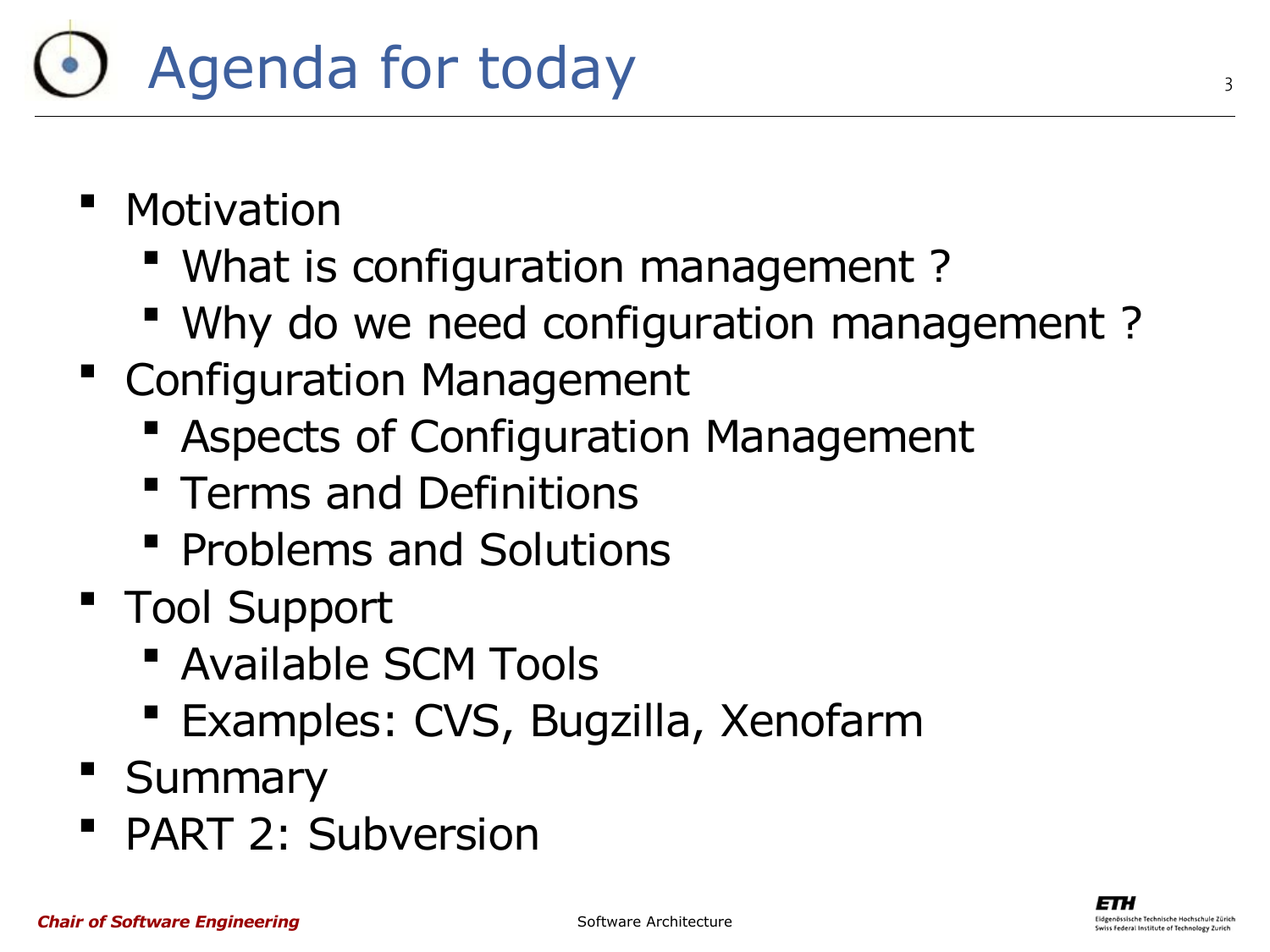- **Motivation** 
	- What is configuration management ?
	- Why do we need configuration management ?
- **Configuration Management** 
	- Aspects of Configuration Management
	- **Terms and Definitions**
	- **Problems and Solutions**
- Tool Support
	- Available SCM Tools
	- Examples: CVS, Bugzilla, Xenofarm
- **Summary**
- PART 2: Subversion

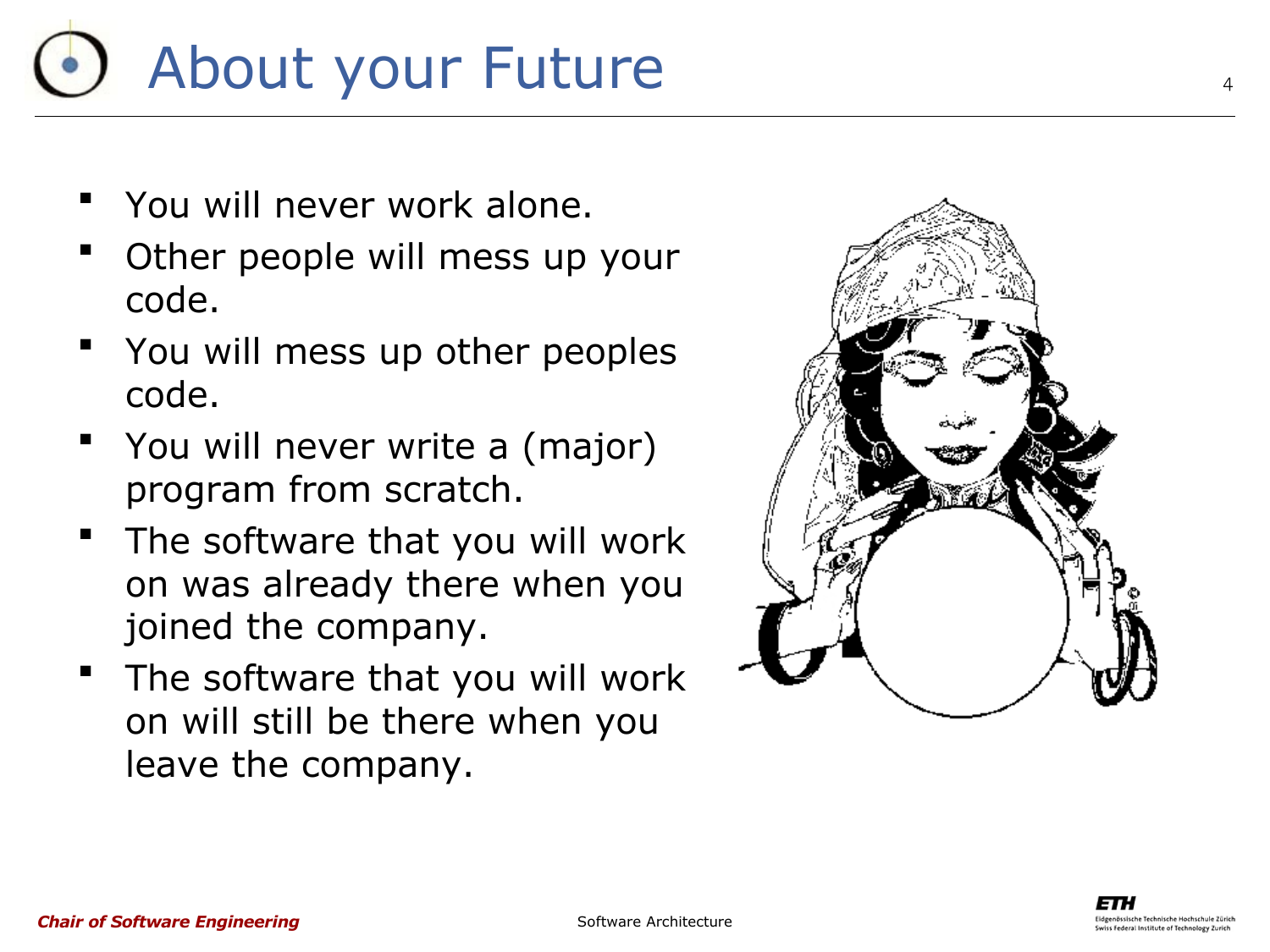# About your Future

- You will never work alone.
- Other people will mess up your code.
- You will mess up other peoples code.
- You will never write a (major) program from scratch.
- **The software that you will work** on was already there when you joined the company.
- The software that you will work on will still be there when you leave the company.

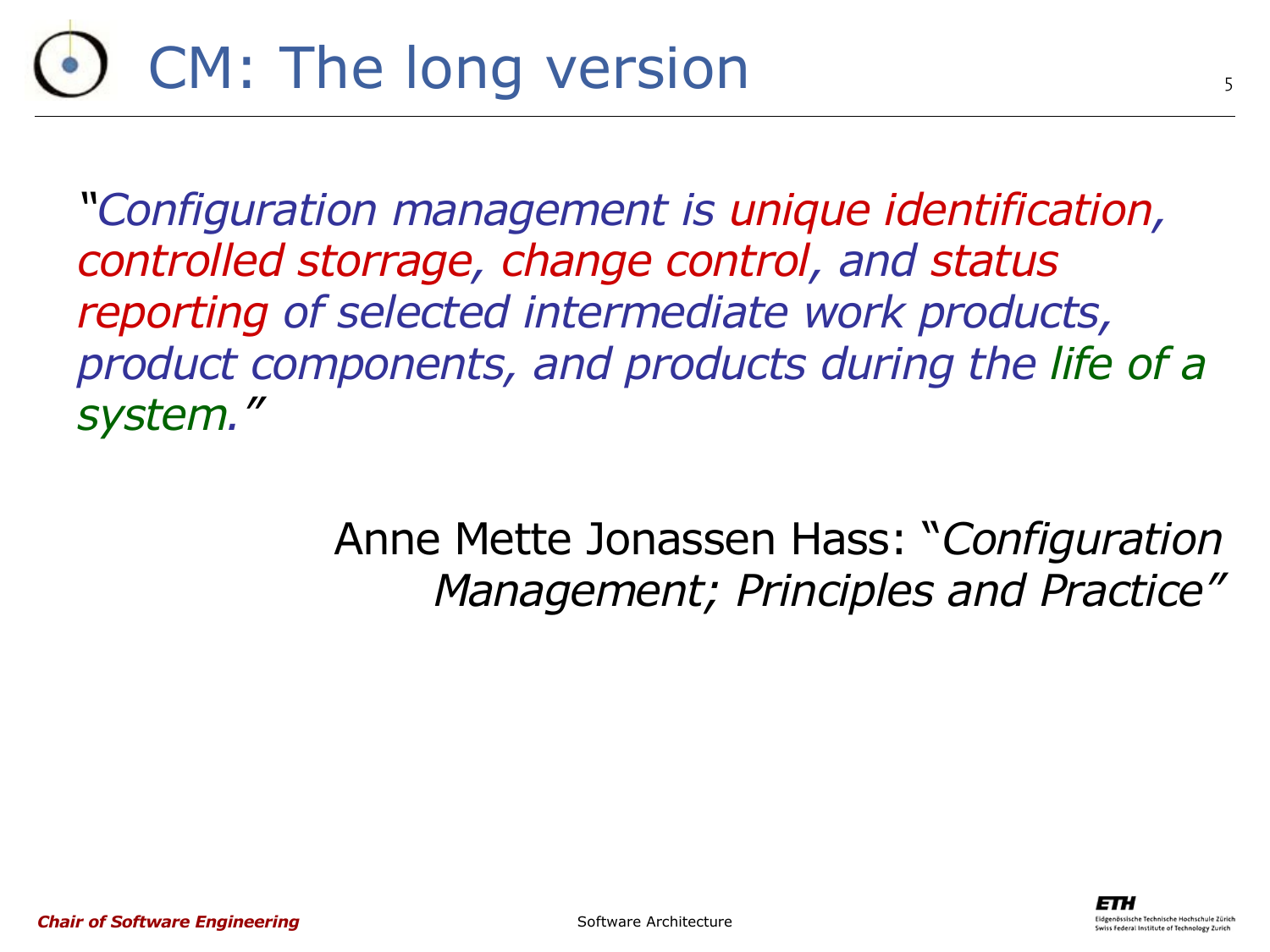# CM: The long version

*"Configuration management is unique identification, controlled storrage, change control, and status reporting of selected intermediate work products, product components, and products during the life of a system."*

> Anne Mette Jonassen Hass: "*Configuration Management; Principles and Practice"*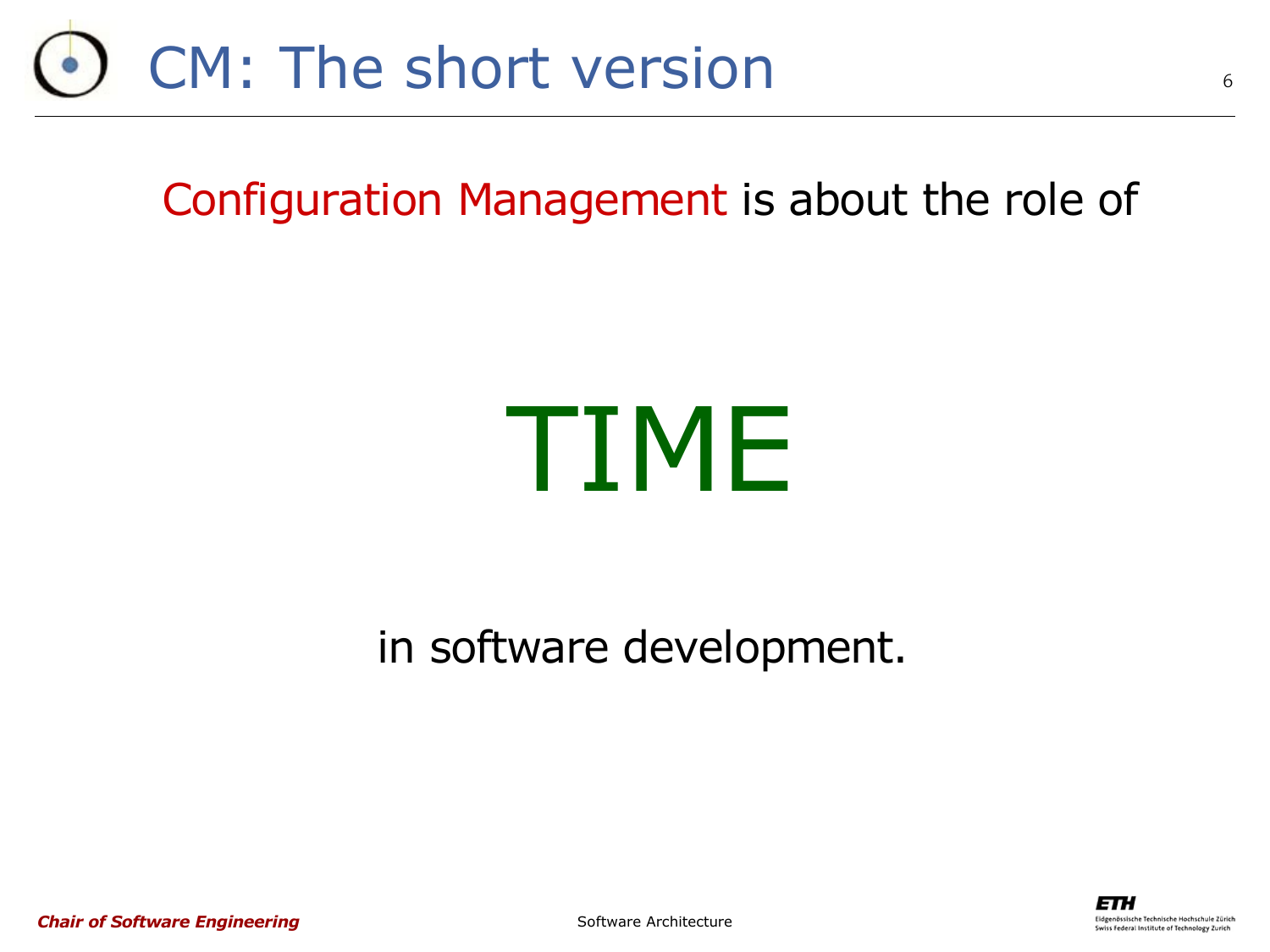

Configuration Management is about the role of

# TIME

in software development.



6

*Chair of Software Engineering*

Software Architecture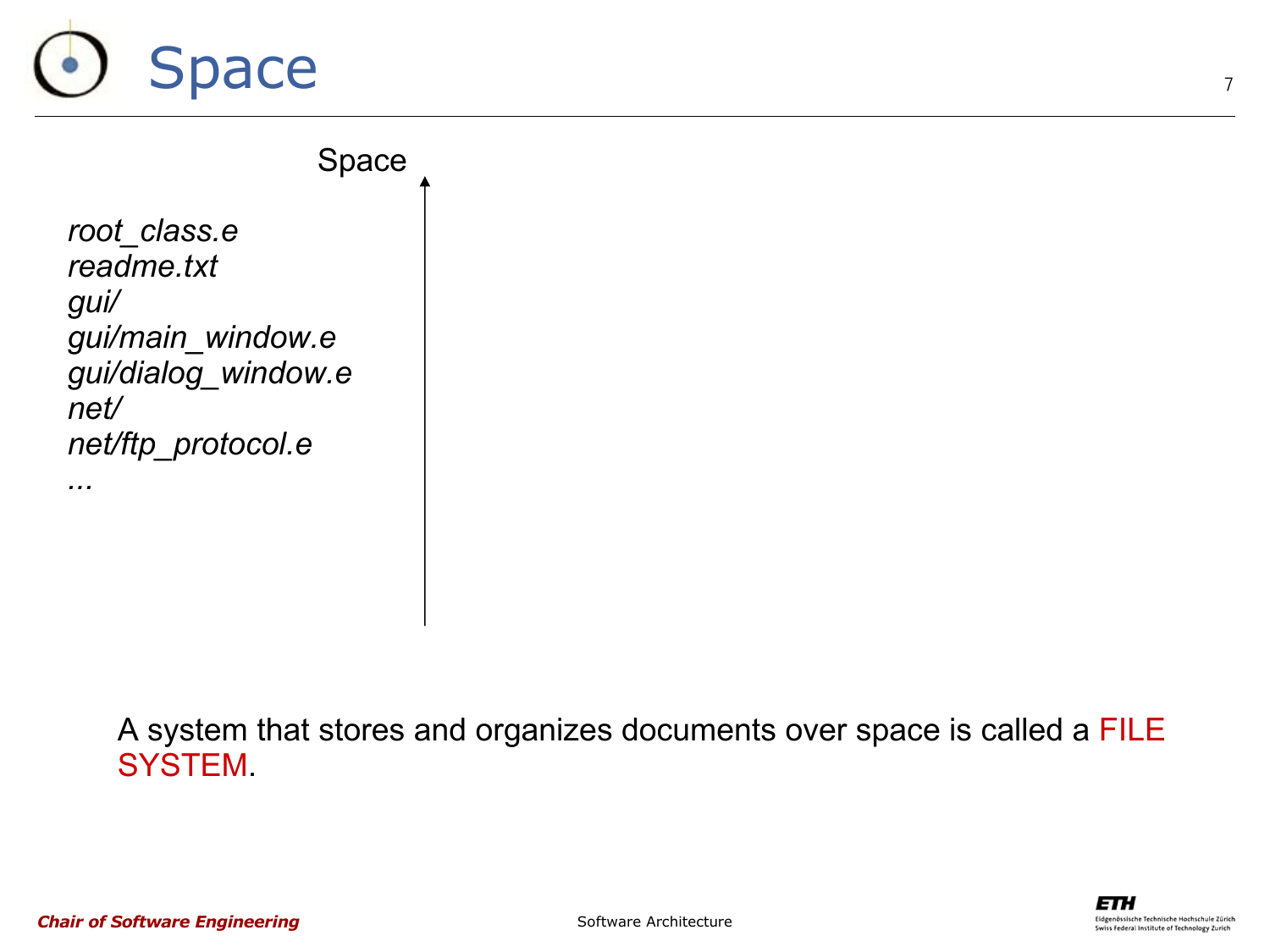# Space

*root\_class.e readme.txt gui/ gui/main\_window.e gui/dialog\_window.e net/ net/ftp\_protocol.e* Space

*...*

A system that stores and organizes documents over space is called a FILE SYSTEM.



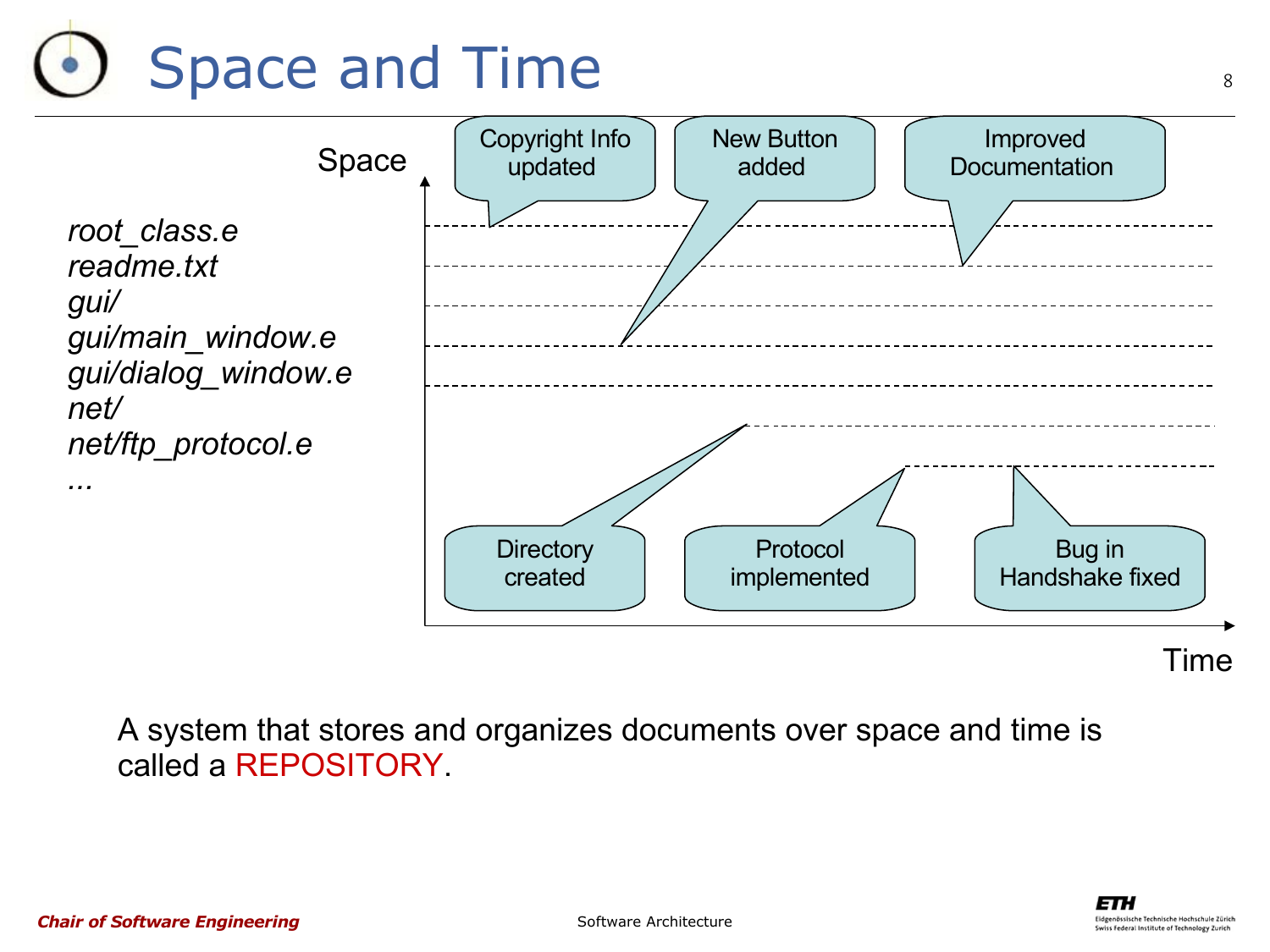# Space and Time



Time

A system that stores and organizes documents over space and time is called a REPOSITORY.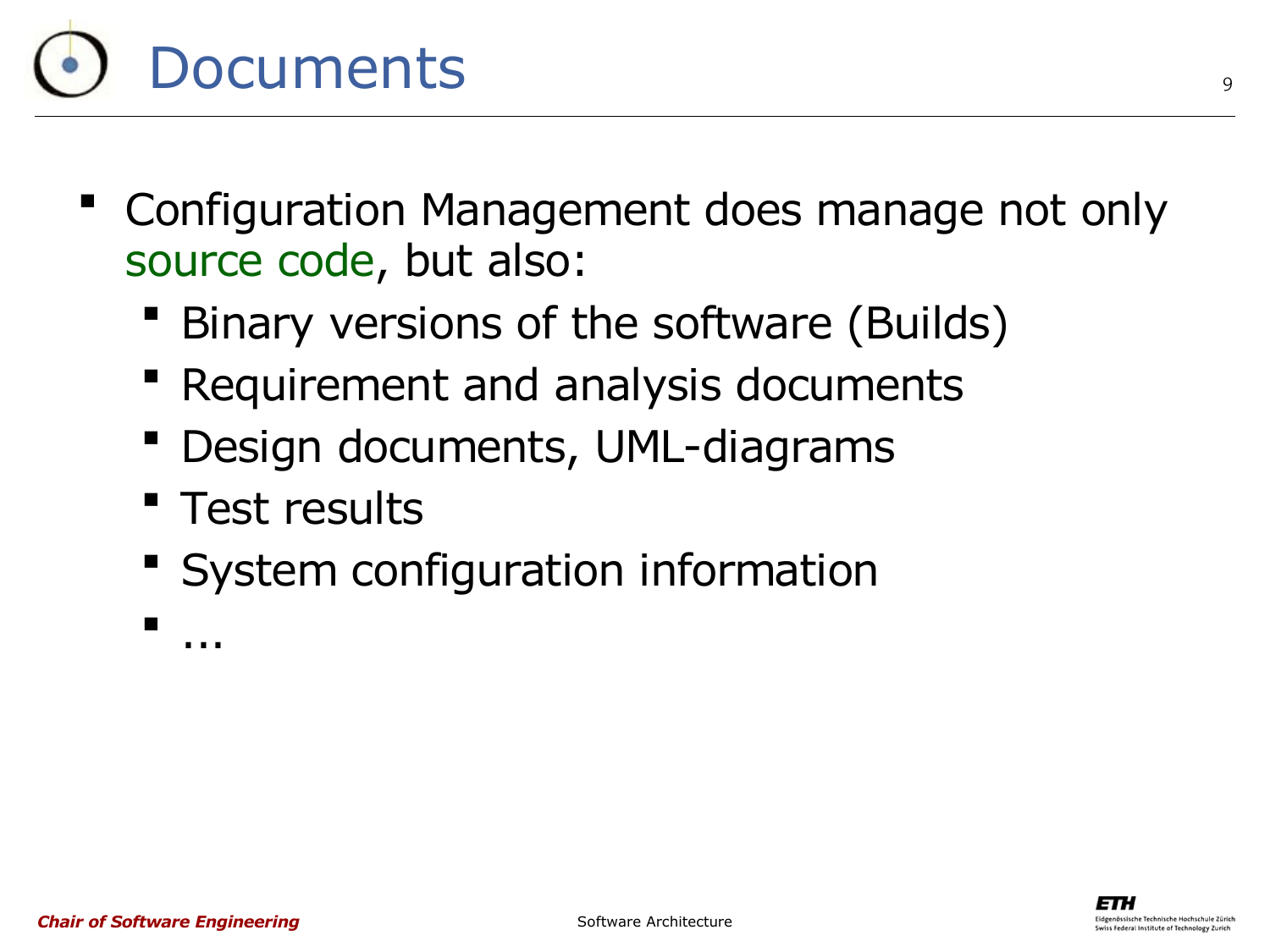

- Configuration Management does manage not only source code, but also:
	- Binary versions of the software (Builds)
	- Requirement and analysis documents
	- Design documents, UML-diagrams
	- **Test results**
	- **System configuration information**

...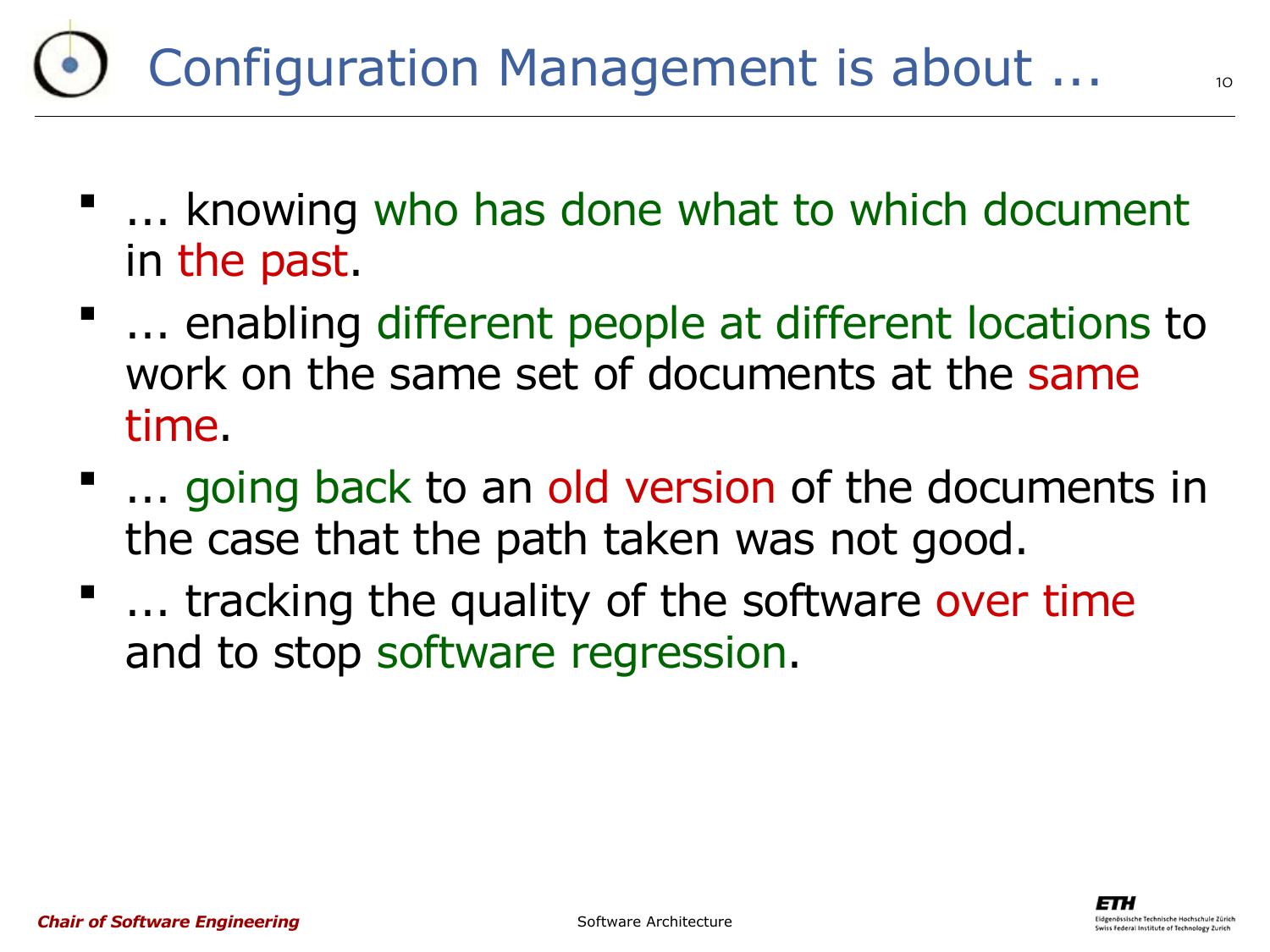### Configuration Management is about ...

- ... knowing who has done what to which document in the past.
- ... enabling different people at different locations to work on the same set of documents at the same time.
- ... going back to an old version of the documents in the case that the path taken was not good.
- ... tracking the quality of the software over time and to stop software regression.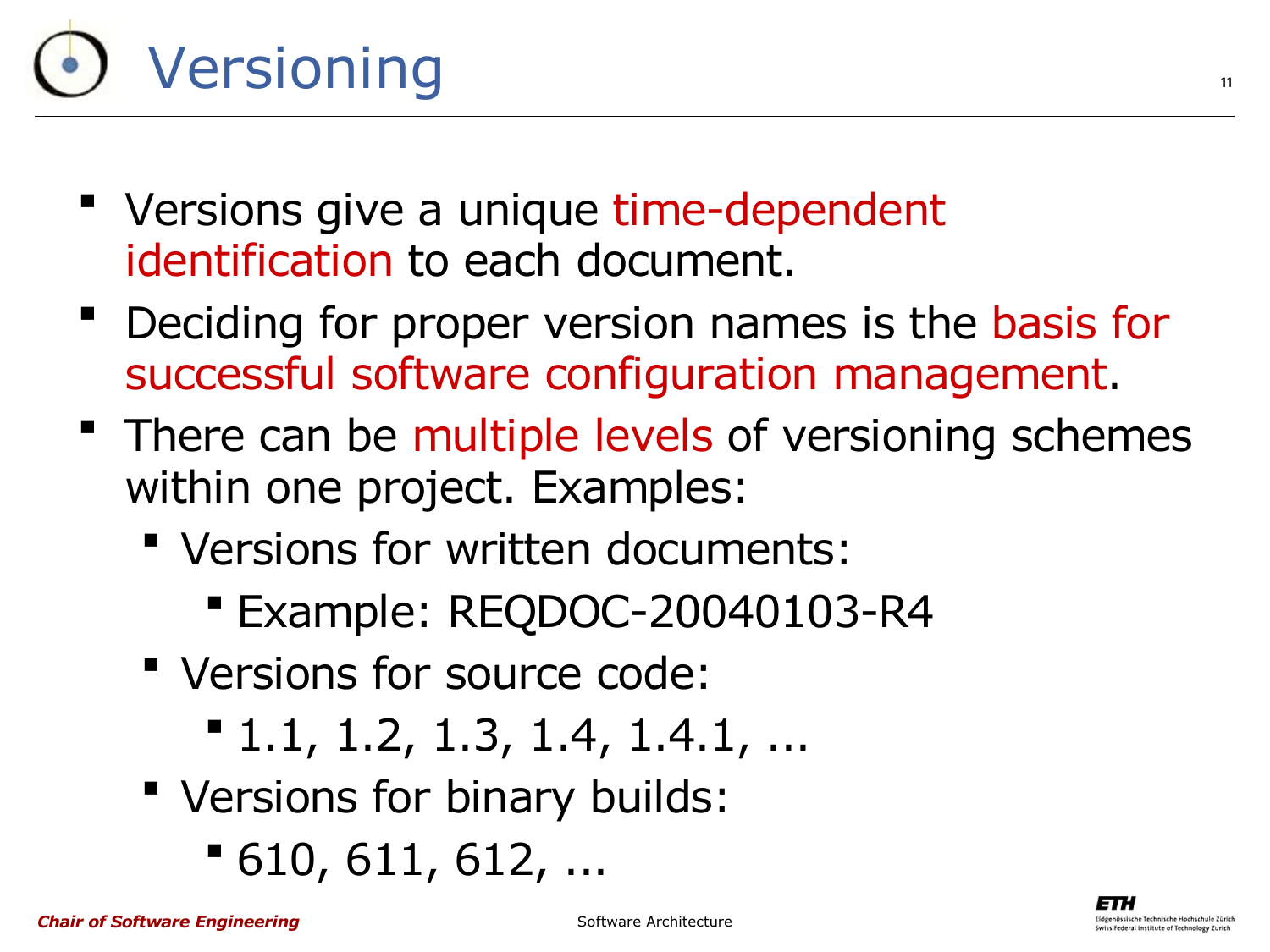# Versioning

- " Versions give a unique time-dependent identification to each document.
- Deciding for proper version names is the basis for successful software configuration management.
- **There can be multiple levels of versioning schemes** within one project. Examples:
	- Versions for written documents:
		- Example: REQDOC-20040103-R4
	- Versions for source code:
		- 1.1, 1.2, 1.3, 1.4, 1.4.1, ...
	- Versions for binary builds:
		- 610, 611, 612, ...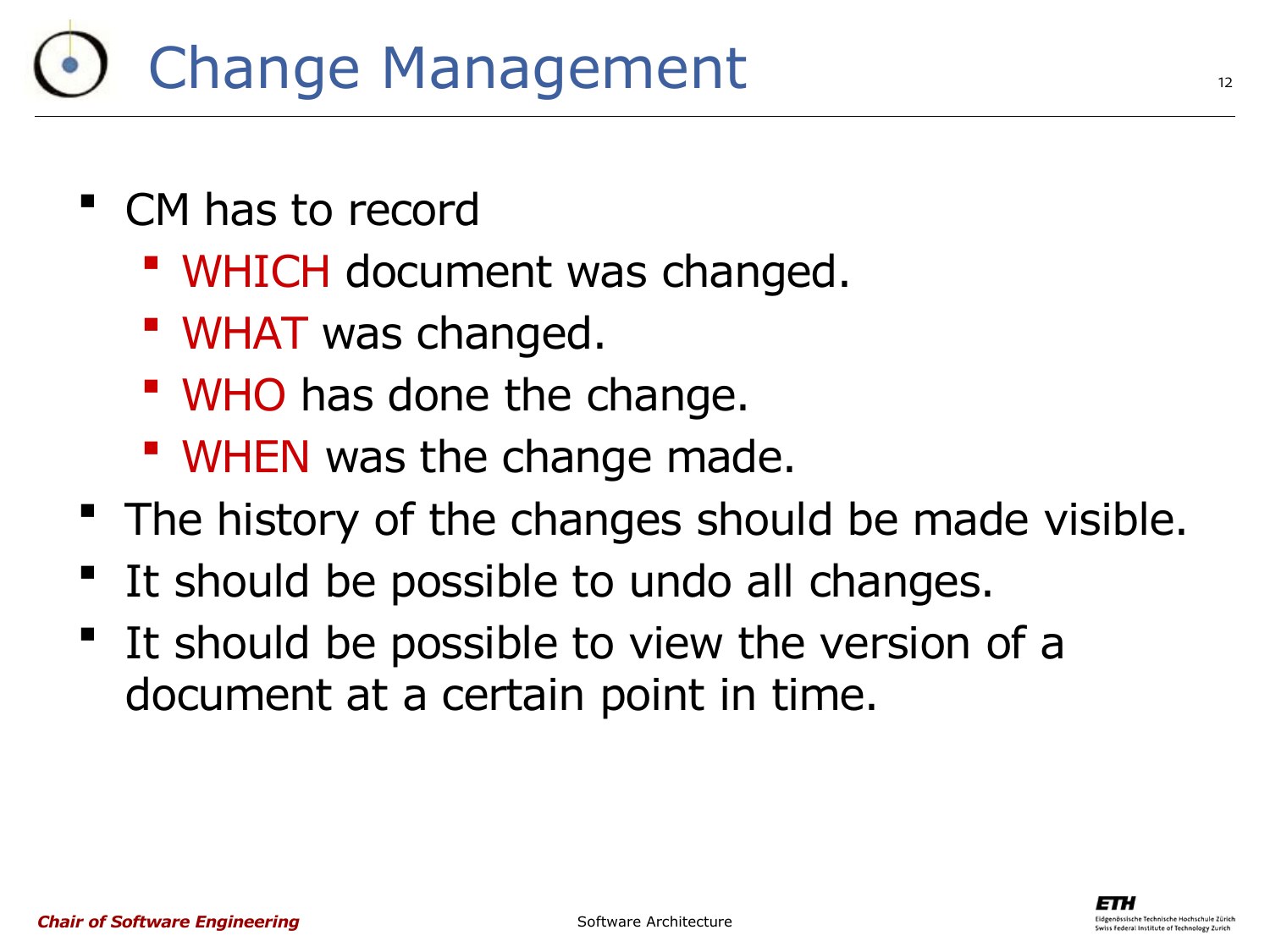### Change Management

- CM has to record
	- WHICH document was changed.
	- **WHAT was changed.**
	- **WHO** has done the change.
	- **WHEN** was the change made.
- **The history of the changes should be made visible.**
- It should be possible to undo all changes.
- It should be possible to view the version of a document at a certain point in time.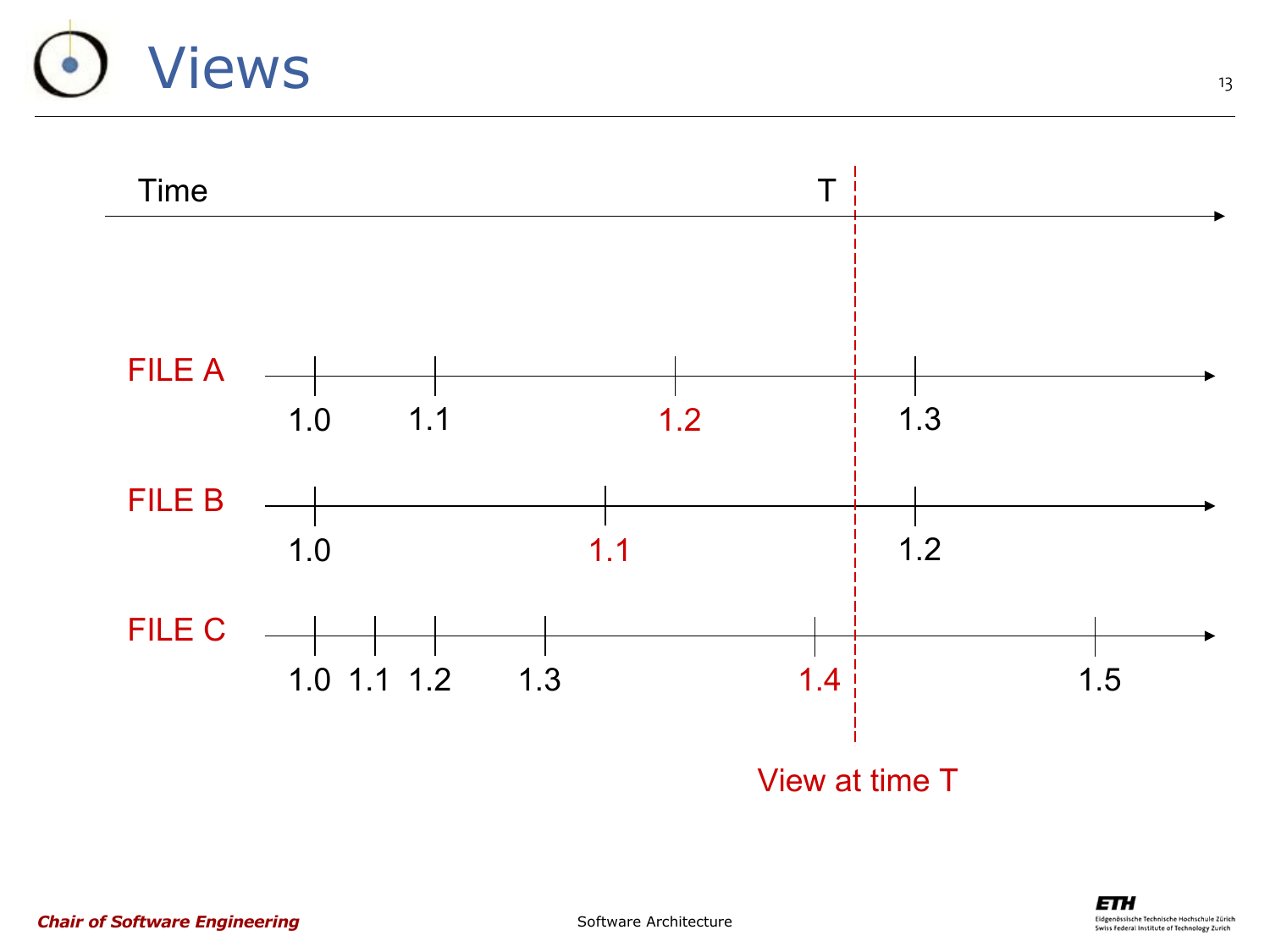## Views

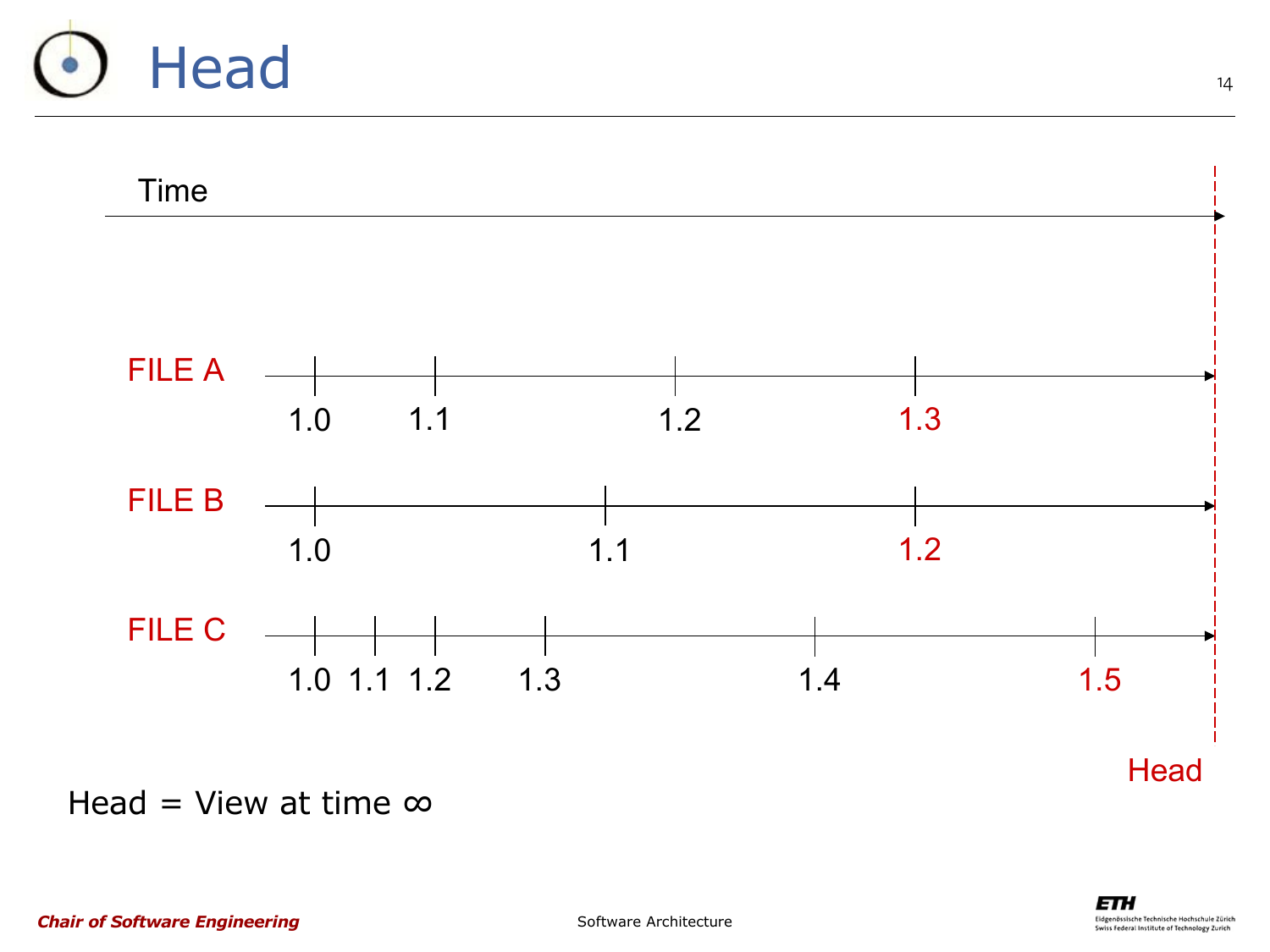



Head = View at time  $\infty$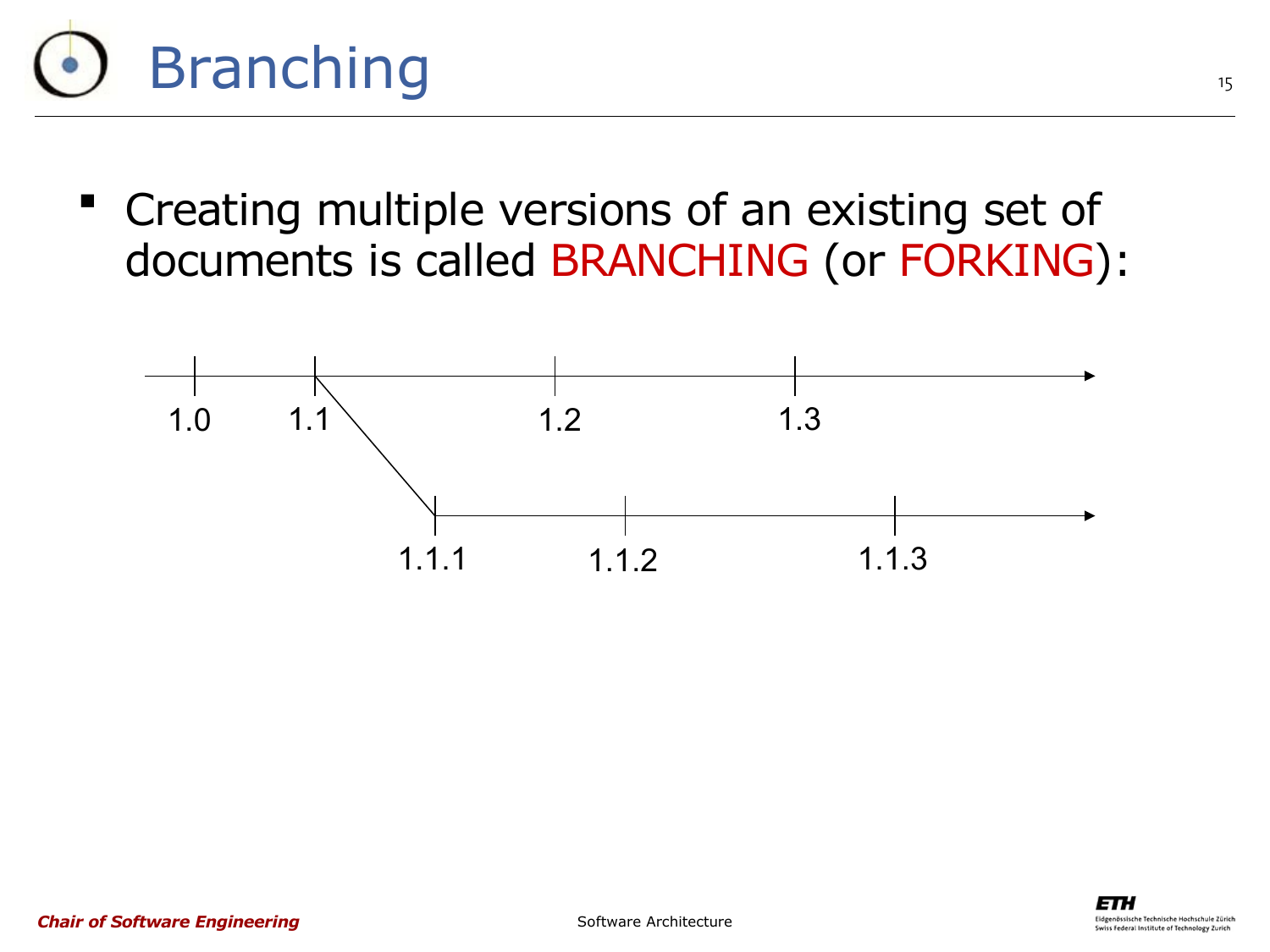

 Creating multiple versions of an existing set of documents is called BRANCHING (or FORKING):

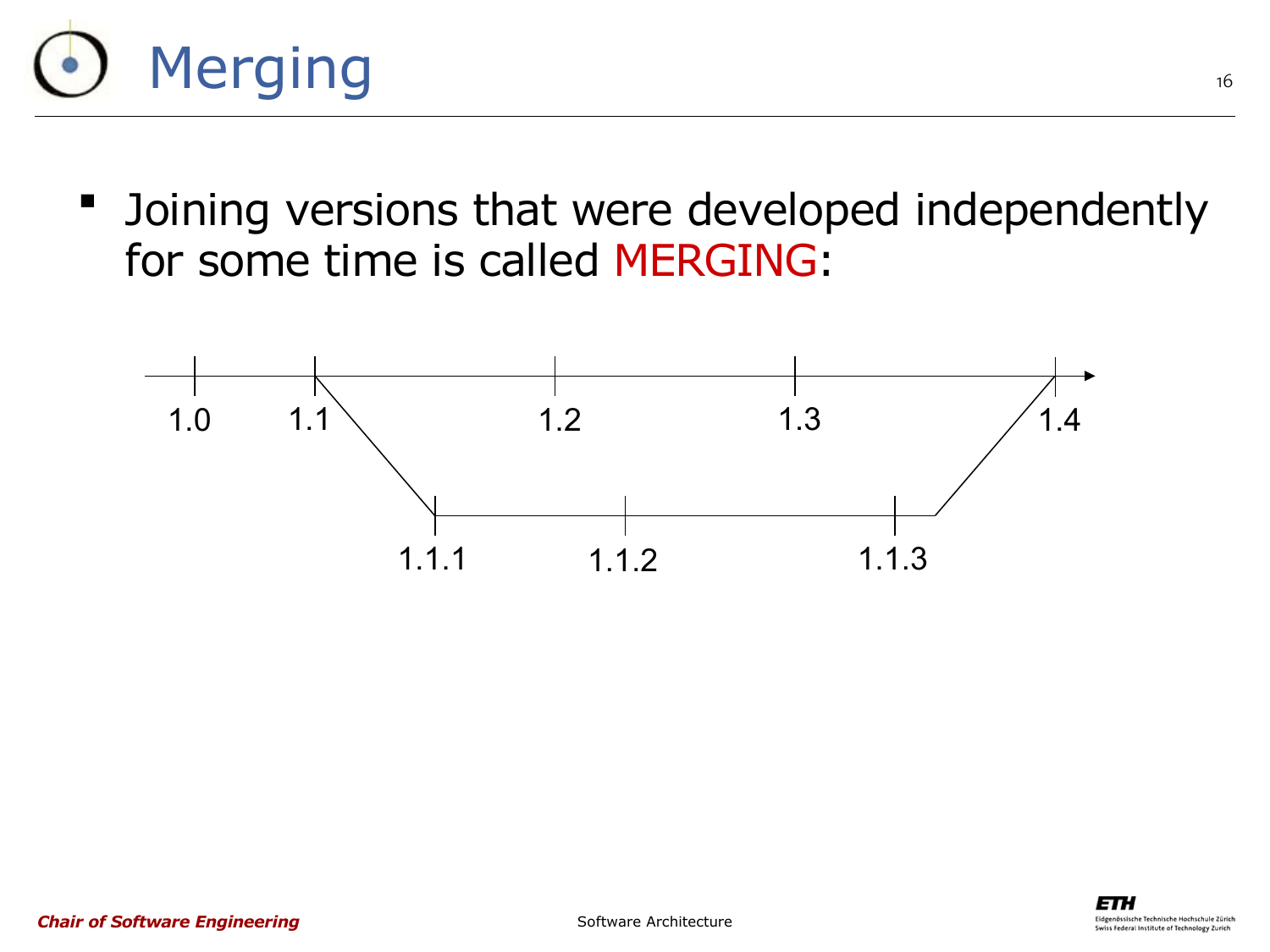

**-** Joining versions that were developed independently for some time is called MERGING:

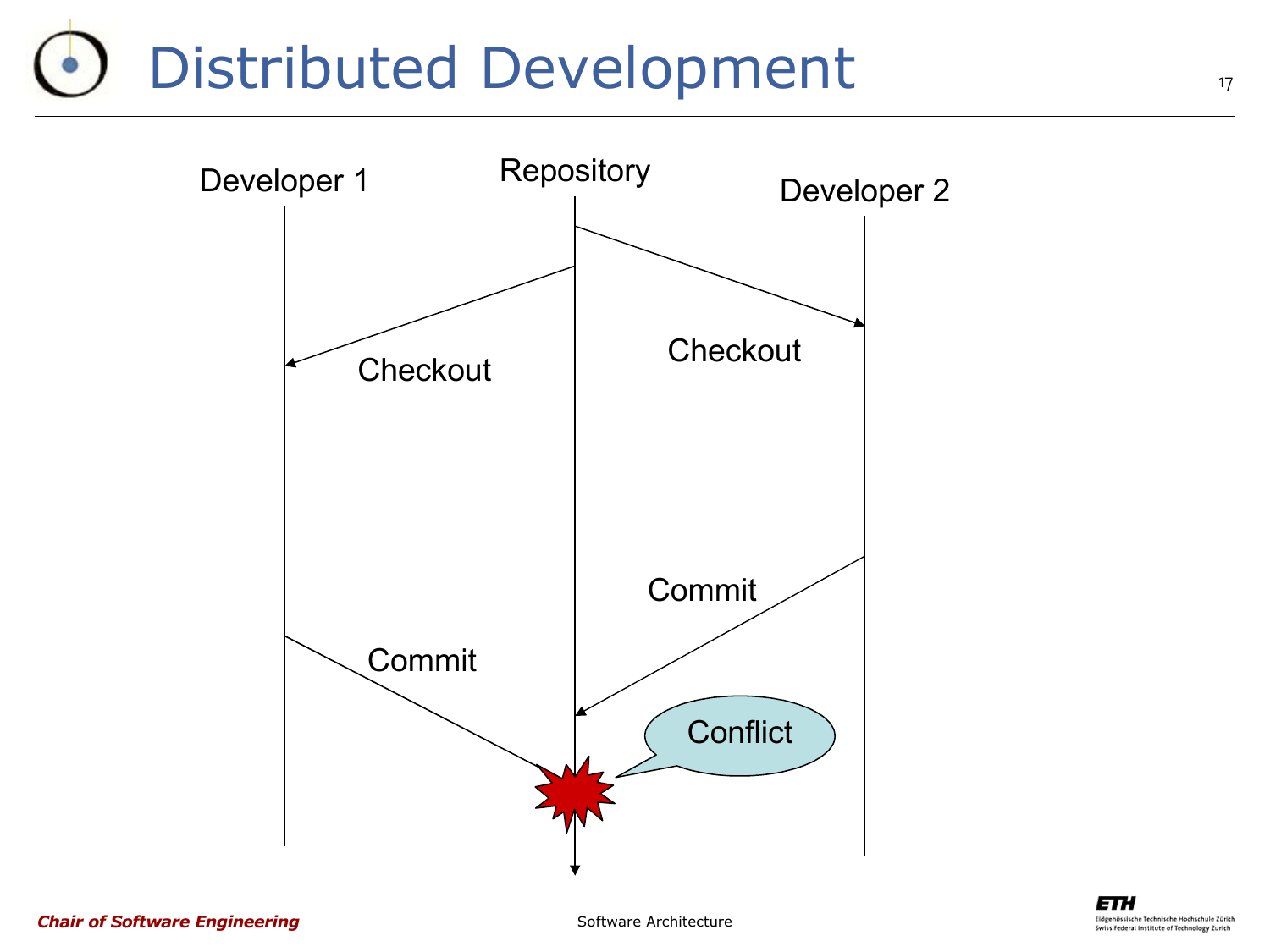### Distributed Development

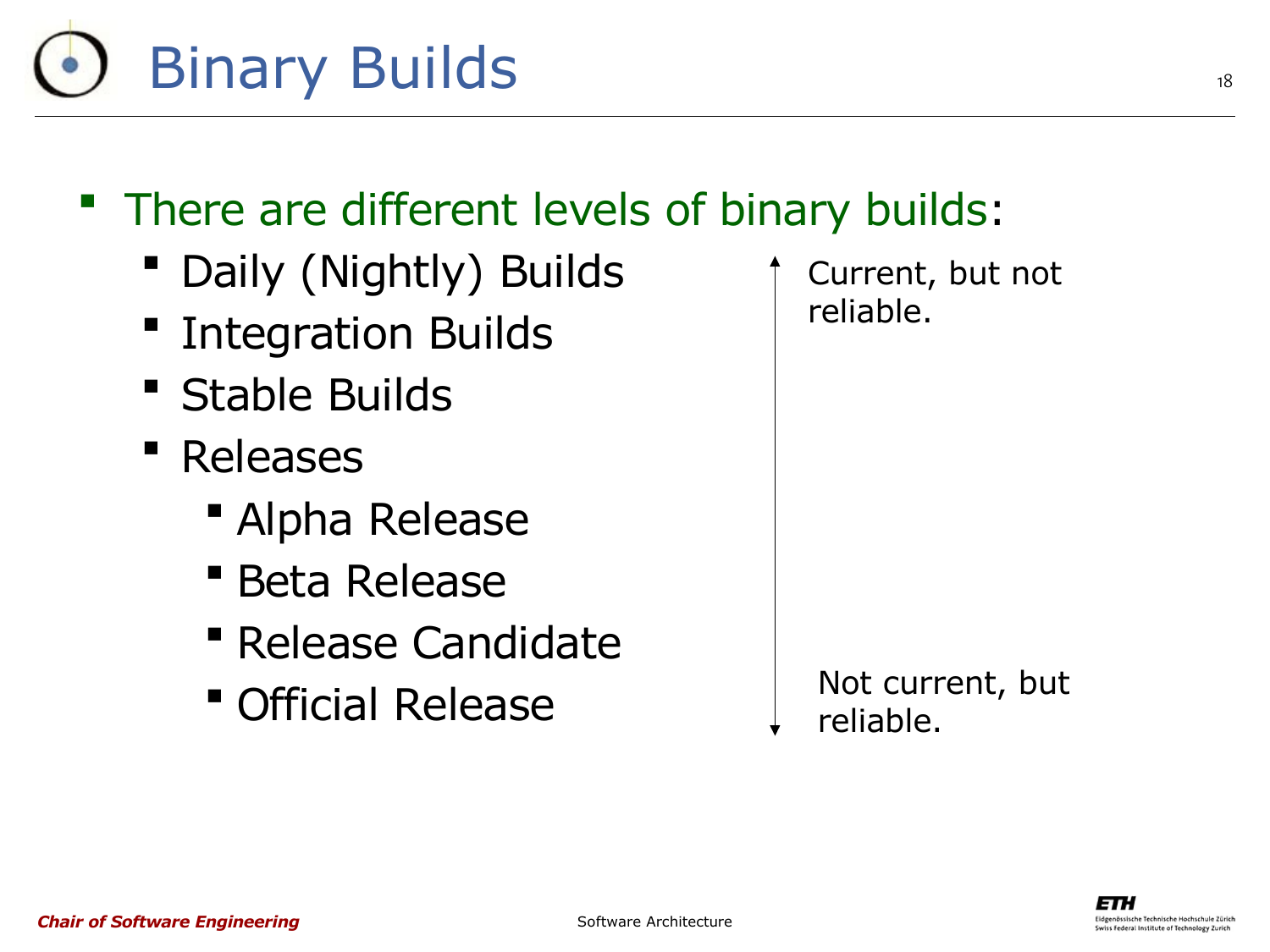

#### There are different levels of binary builds:

- Daily (Nightly) Builds
- **"** Integration Builds
- Stable Builds
- Releases
	- Alpha Release
	- **Beta Release**
	- **Release Candidate**
	- Official Release

Current, but not reliable.

Not current, but reliable.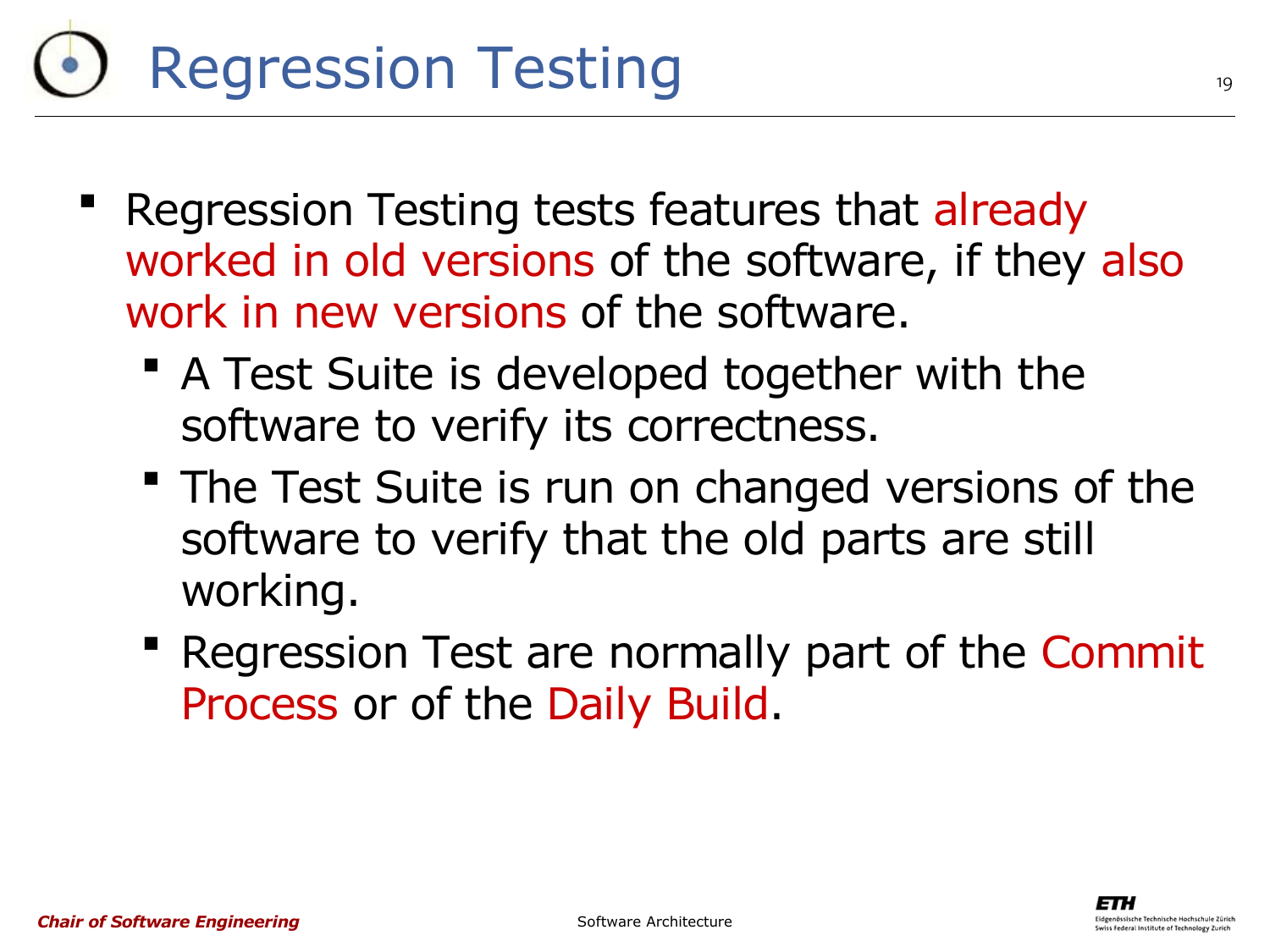## Regression Testing

- Regression Testing tests features that already worked in old versions of the software, if they also work in new versions of the software.
	- A Test Suite is developed together with the software to verify its correctness.
	- **The Test Suite is run on changed versions of the** software to verify that the old parts are still working.
	- **Regression Test are normally part of the Commit** Process or of the Daily Build.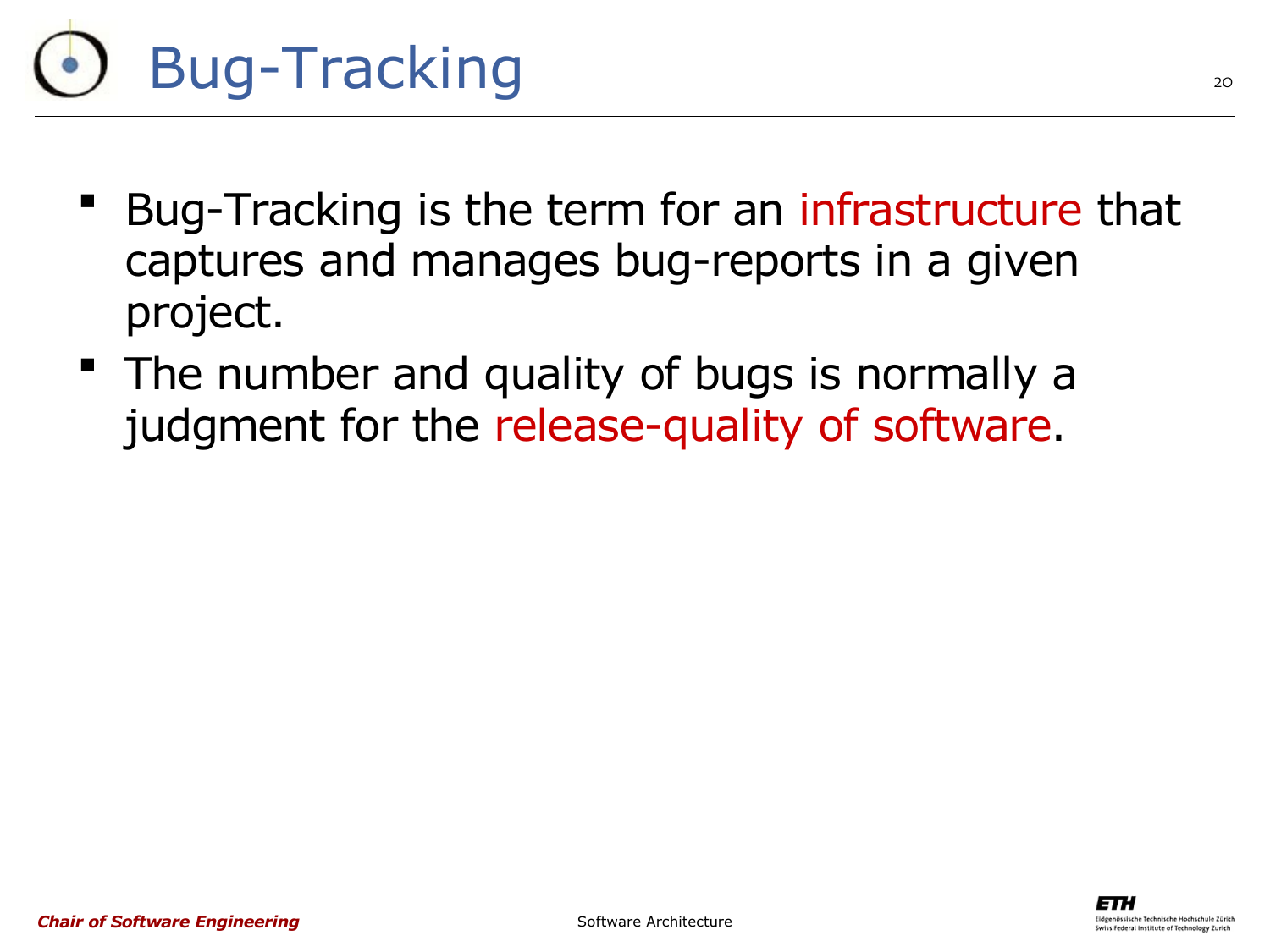

- Bug-Tracking is the term for an infrastructure that captures and manages bug-reports in a given project.
- **The number and quality of bugs is normally a** judgment for the release-quality of software.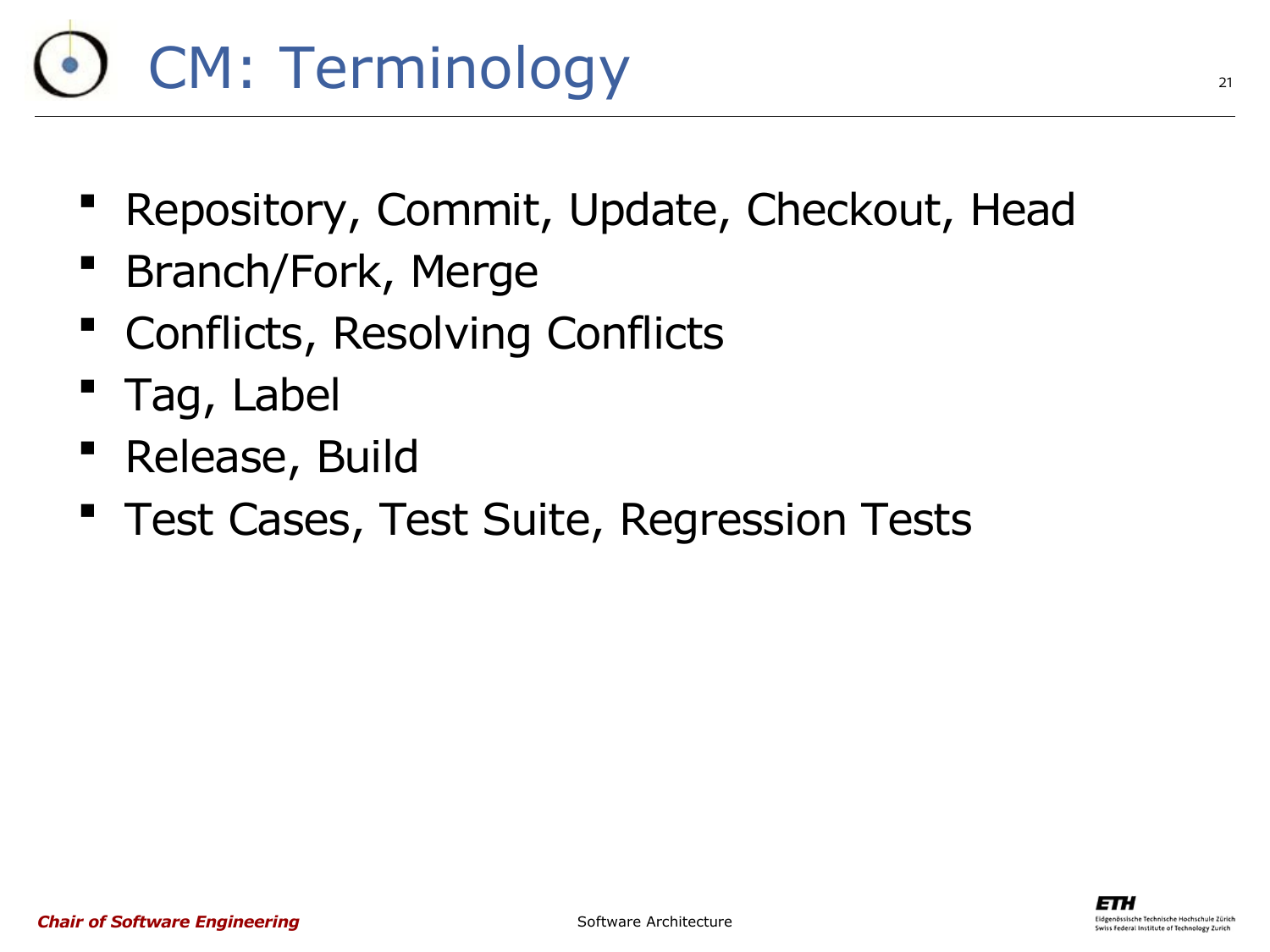# CM: Terminology

- Repository, Commit, Update, Checkout, Head
- **Branch/Fork, Merge**
- Conflicts, Resolving Conflicts
- Tag, Label
- Release, Build
- **Test Cases, Test Suite, Regression Tests**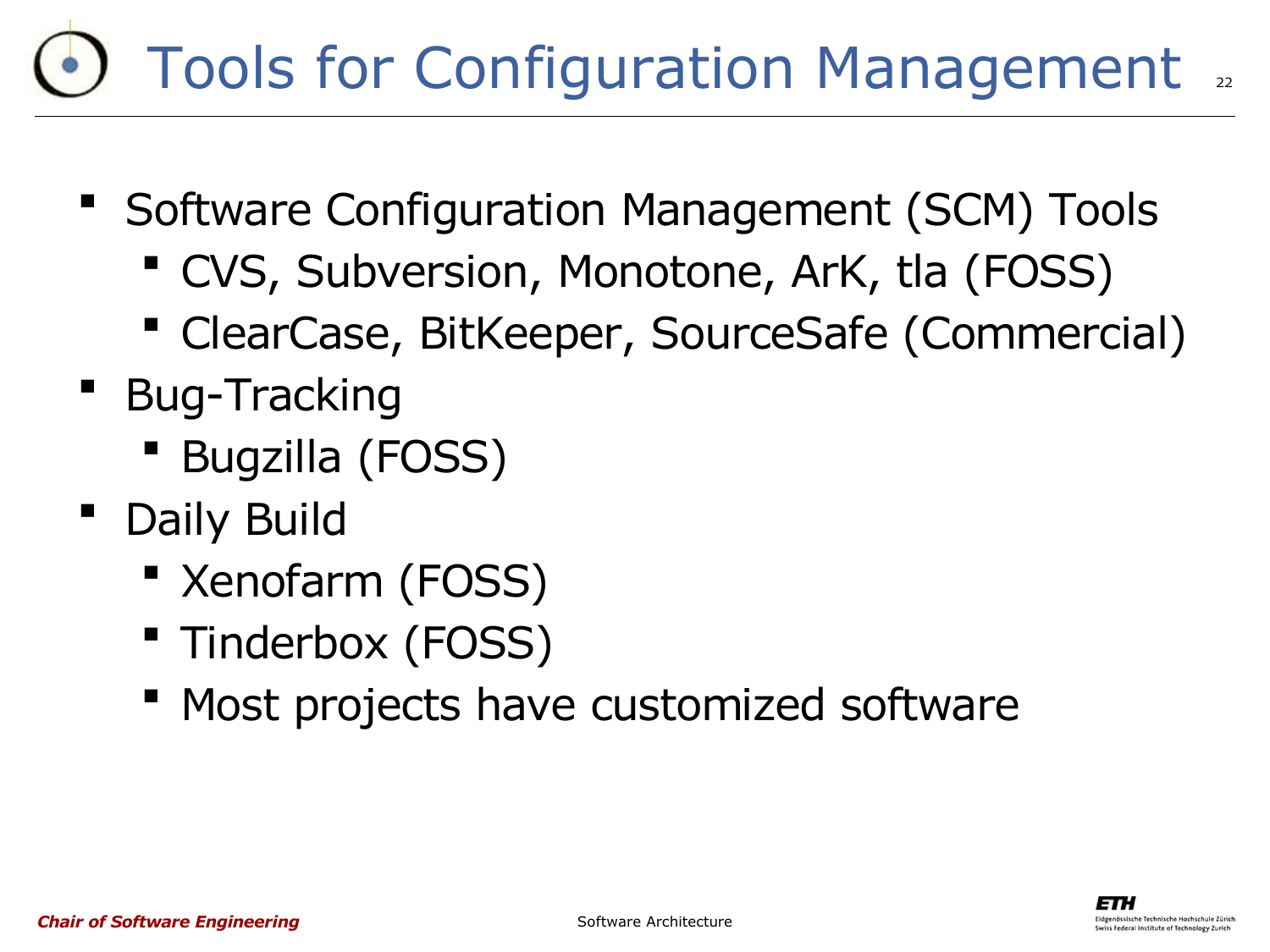#### 22 Tools for Configuration Management

- **Software Configuration Management (SCM) Tools** 
	- CVS, Subversion, Monotone, ArK, tla (FOSS)
	- ClearCase, BitKeeper, SourceSafe (Commercial)
- **Bug-Tracking** 
	- Bugzilla (FOSS)
- Daily Build
	- **EXenofarm (FOSS)**
	- **Tinderbox (FOSS)**
	- **"** Most projects have customized software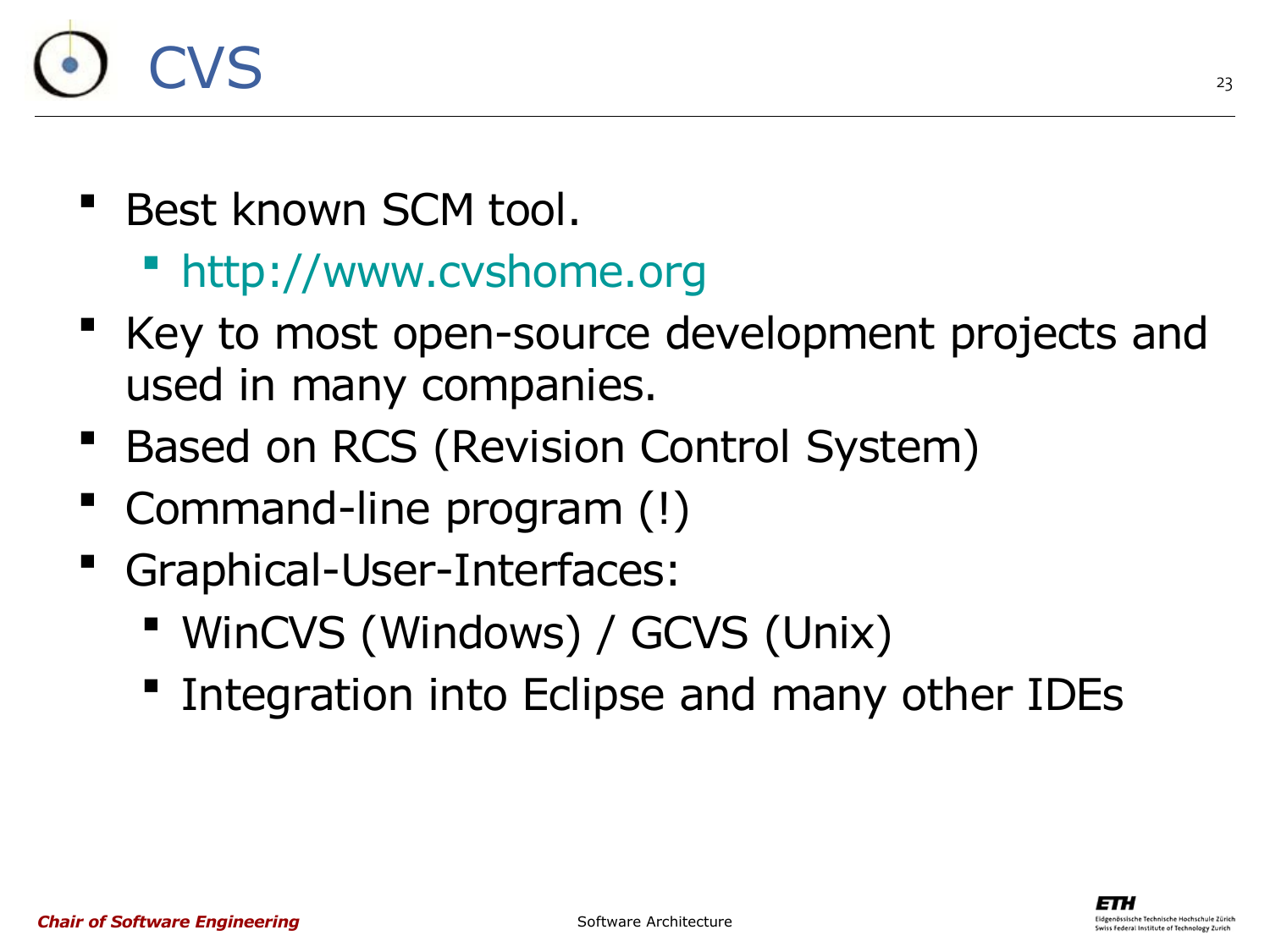

- Best known SCM tool.
	- [http://www.cvshome.org](http://www.cvshome.org/)
- Key to most open-source development projects and used in many companies.
- Based on RCS (Revision Control System)
- Command-line program (!)
- Graphical-User-Interfaces:
	- WinCVS (Windows) / GCVS (Unix)
	- **Integration into Eclipse and many other IDEs**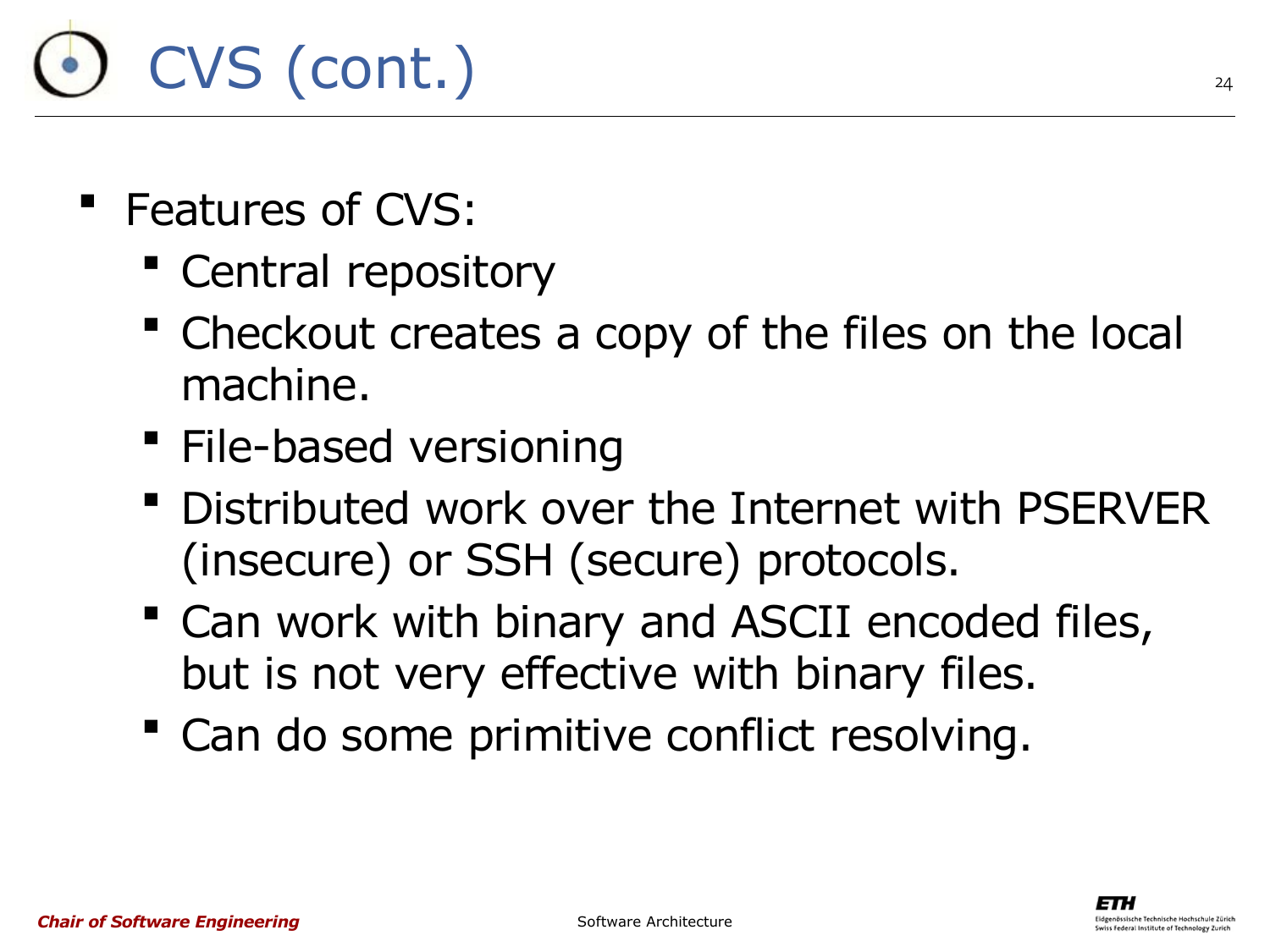# CVS (cont.)

- Features of CVS:
	- **Central repository**
	- Checkout creates a copy of the files on the local machine.
	- **File-based versioning**
	- Distributed work over the Internet with PSERVER (insecure) or SSH (secure) protocols.
	- Can work with binary and ASCII encoded files, but is not very effective with binary files.
	- Can do some primitive conflict resolving.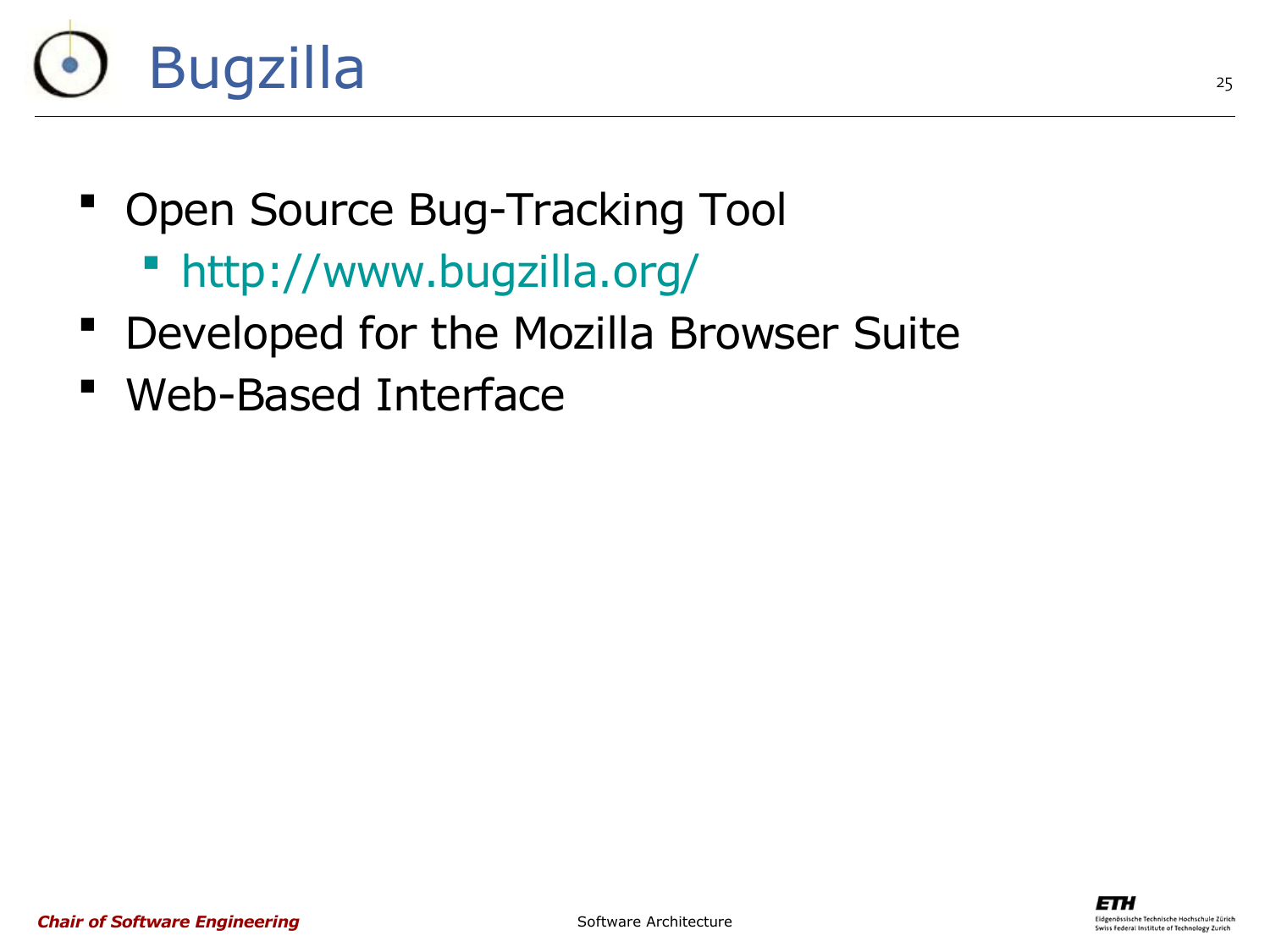

- Open Source Bug-Tracking Tool
	- <http://www.bugzilla.org/>
- Developed for the Mozilla Browser Suite
- Web-Based Interface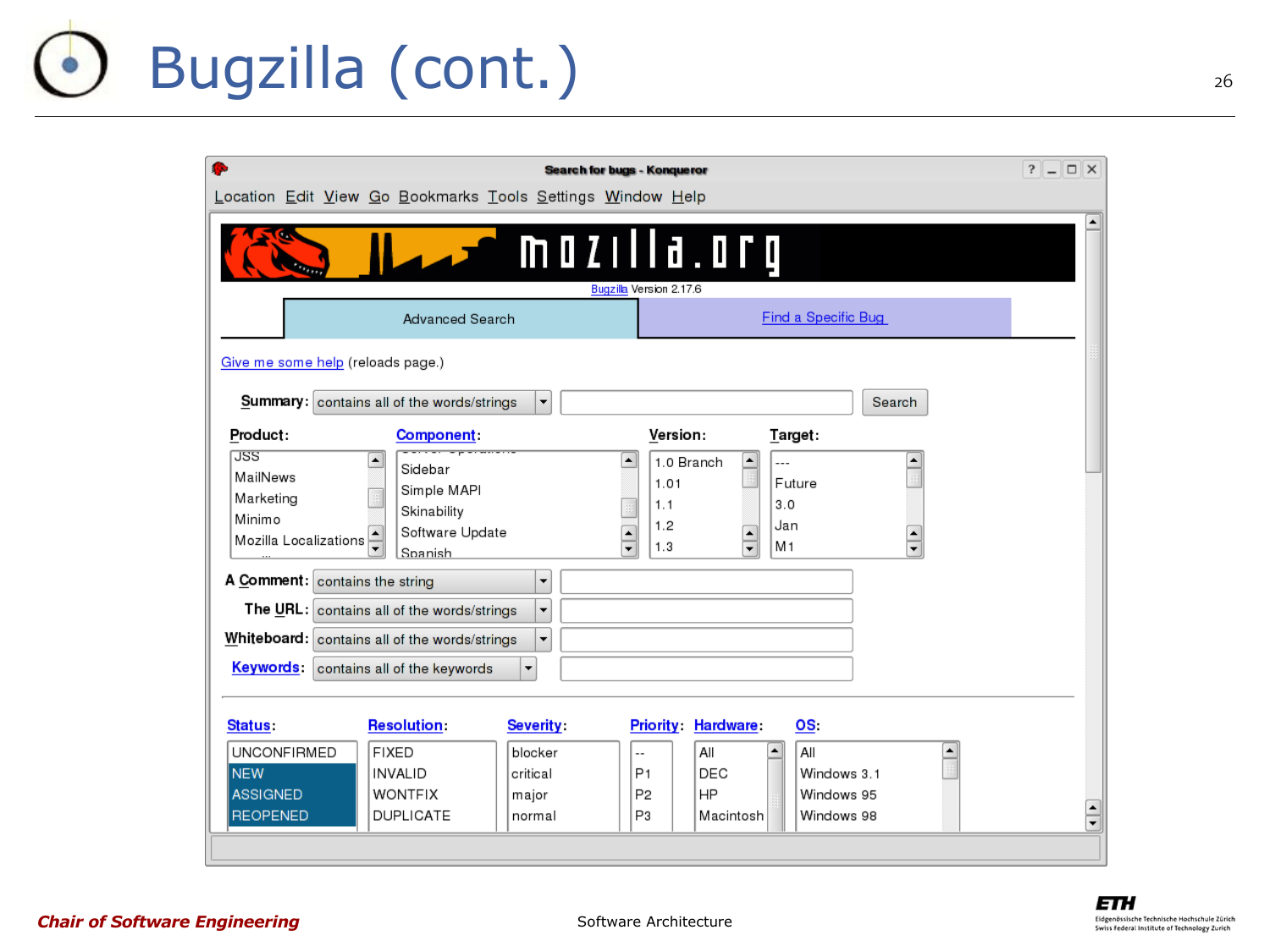#### Bugzilla (cont.) $\bullet$

| r.<br><b>Search for bugs - Konqueror</b>                                                                                                                                                                                                                                                                                                                                                                                                |                       |  |  |  |  |  |  |  |  |  |  |  |  |
|-----------------------------------------------------------------------------------------------------------------------------------------------------------------------------------------------------------------------------------------------------------------------------------------------------------------------------------------------------------------------------------------------------------------------------------------|-----------------------|--|--|--|--|--|--|--|--|--|--|--|--|
| Location Edit View Go Bookmarks Tools Settings Window Help                                                                                                                                                                                                                                                                                                                                                                              |                       |  |  |  |  |  |  |  |  |  |  |  |  |
| $\overline{\phantom{a}}$ mozilla.org<br>Bugzilla Version 2.17.6                                                                                                                                                                                                                                                                                                                                                                         |                       |  |  |  |  |  |  |  |  |  |  |  |  |
| Find a Specific Bug<br><b>Advanced Search</b>                                                                                                                                                                                                                                                                                                                                                                                           |                       |  |  |  |  |  |  |  |  |  |  |  |  |
| Give me some help (reloads page.)                                                                                                                                                                                                                                                                                                                                                                                                       |                       |  |  |  |  |  |  |  |  |  |  |  |  |
| <b>Summary:</b> contains all of the words/strings<br>Search<br>$\overline{\phantom{a}}$                                                                                                                                                                                                                                                                                                                                                 |                       |  |  |  |  |  |  |  |  |  |  |  |  |
| Version:<br>Product:<br>Target:<br><b>Component:</b>                                                                                                                                                                                                                                                                                                                                                                                    |                       |  |  |  |  |  |  |  |  |  |  |  |  |
| <b>JSS</b><br>1.0 Branch<br>٠<br>٠<br>$\blacktriangle$<br>▲<br>$\overline{a}$<br>Sidebar<br>MailNews<br>1.01<br>Future<br>Simple MAPI<br>Marketing<br>3.0<br>1.1<br>Skinability<br>Minimo<br>1.2<br>Jan<br>Software Update<br>$\blacktriangle$<br>$\blacktriangle$<br>$\blacktriangle$<br>Mozilla Localizations<br>$\overline{\phantom{0}}$<br>M <sub>1</sub><br>$\overline{\phantom{0}}$<br>1.3<br>$\overline{\phantom{0}}$<br>Spanish |                       |  |  |  |  |  |  |  |  |  |  |  |  |
| A Comment: contains the string<br>$\blacktriangledown$                                                                                                                                                                                                                                                                                                                                                                                  |                       |  |  |  |  |  |  |  |  |  |  |  |  |
| The URL: contains all of the words/strings<br>$\overline{\phantom{a}}$                                                                                                                                                                                                                                                                                                                                                                  |                       |  |  |  |  |  |  |  |  |  |  |  |  |
| Whiteboard: contains all of the words/strings<br>$\overline{\phantom{a}}$                                                                                                                                                                                                                                                                                                                                                               |                       |  |  |  |  |  |  |  |  |  |  |  |  |
| Keywords:<br>$\overline{\phantom{a}}$<br>contains all of the keywords                                                                                                                                                                                                                                                                                                                                                                   |                       |  |  |  |  |  |  |  |  |  |  |  |  |
| <b>Resolution:</b><br><b>Severity</b><br><b>Priority Hardware</b><br>OS.<br>Status:<br><b>UNCONFIRMED</b><br><b>FIXED</b><br>All<br>blocker<br>All<br>٠<br>$\overline{a}$<br><b>NEW</b><br>DEC<br><b>INVALID</b><br>critical<br>P <sub>1</sub><br>Windows 3.1<br><b>ASSIGNED</b><br>HP<br><b>WONTFIX</b><br>P <sub>2</sub><br>Windows 95<br>major<br><b>REOPENED</b><br><b>DUPLICATE</b><br>P3<br>Macintosh<br>Windows 98<br>normal     | $\blacktriangle$<br>╤ |  |  |  |  |  |  |  |  |  |  |  |  |

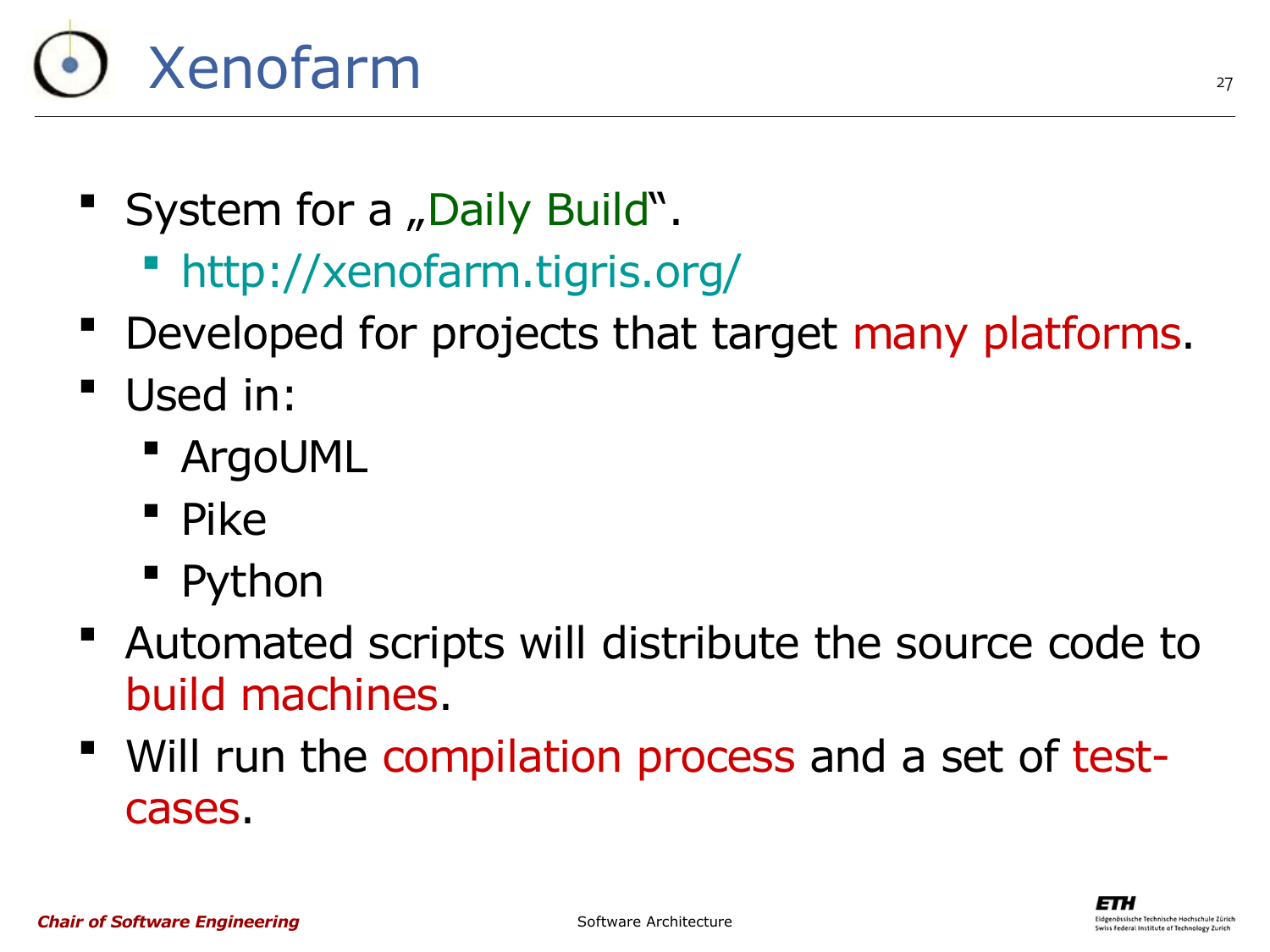# Xenofarm

- " System for a "Daily Build".
	- <http://xenofarm.tigris.org/>
- Developed for projects that target many platforms.
- Used in:
	- ArgoUML
	- $\blacksquare$  Pike
	- **Python**
- Automated scripts will distribute the source code to build machines.
- " Will run the compilation process and a set of testcases.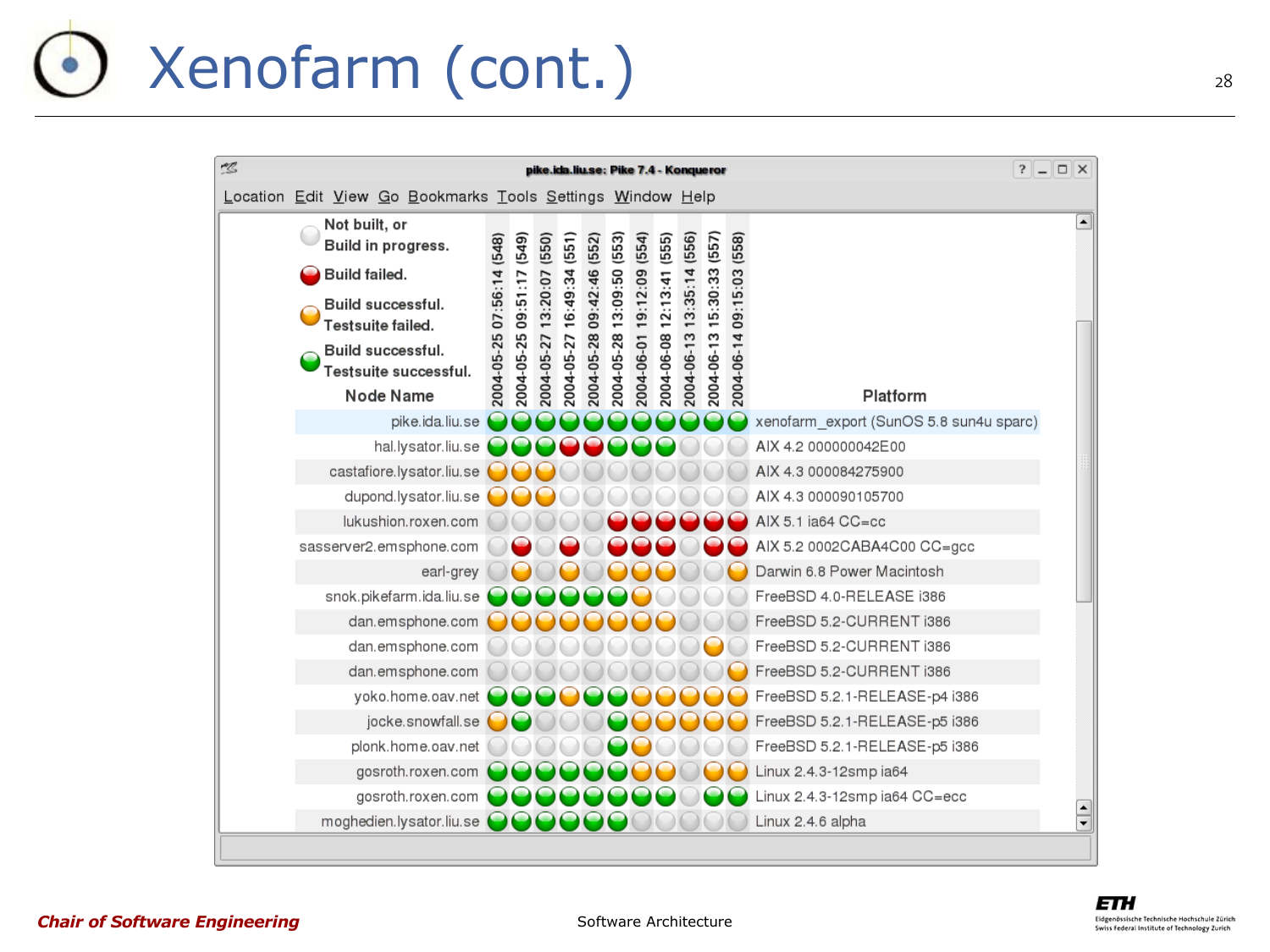### Xenofarm (cont.)

| 12 | pike.ida.liu.se: Pike 7.4 - Konqueror                      |                           |            |            |            |            |            |            |            |            |            | $?$ $-$    | $\Box$ $\times$                         |                  |  |
|----|------------------------------------------------------------|---------------------------|------------|------------|------------|------------|------------|------------|------------|------------|------------|------------|-----------------------------------------|------------------|--|
|    | Location Edit View Go Bookmarks Tools Settings Window Help |                           |            |            |            |            |            |            |            |            |            |            |                                         |                  |  |
|    | Not built, or<br>Build in progress.                        |                           | (549)      | (550)      | (551)      | (552)      | (553)      | (554)      | (555)      | (556)      | (557)      | (558)      |                                         | $\blacktriangle$ |  |
|    | Build failed.                                              | 2004-05-25 07:56:14 (548) |            |            |            |            |            |            |            |            |            |            |                                         |                  |  |
|    | Build successful.<br>Testsuite failed.                     |                           |            | 09:51:17   | 13:20:07   | 16:49:34   | 09:42:46   | 13:09:50   | 19:12:09   | 12:13:41   | 13:35:14   | 15:30:33   | 09:15:03                                |                  |  |
|    | Build successful.<br>Testsuite successful.                 |                           | 2004-05-25 | 2004-05-27 | 2004-05-27 | 2004-05-28 | 2004-05-28 | 2004-06-01 | 2004-06-08 | 2004-06-13 | 2004-06-13 | 2004-06-14 |                                         |                  |  |
|    | Node Name                                                  |                           |            |            |            |            |            |            |            |            |            |            | Platform                                |                  |  |
|    | pike.ida.liu.se                                            |                           |            |            |            |            |            |            |            |            |            |            | xenofarm_export (SunOS 5.8 sun4u sparc) |                  |  |
|    | hal.lysator.liu.se                                         |                           |            |            |            |            |            |            |            |            |            |            | AIX 4.2 000000042E00                    |                  |  |
|    | castafiore.lysator.liu.se                                  |                           |            |            |            |            |            |            |            |            |            |            | AIX 4.3 000084275900                    |                  |  |
|    | dupond.lysator.liu.se                                      |                           |            |            |            |            |            |            |            |            |            |            | AIX 4.3 000090105700                    |                  |  |
|    | lukushion.roxen.com                                        |                           |            |            |            |            |            |            |            |            |            |            | AIX 5.1 ia64 CC=cc                      |                  |  |
|    | sasserver2.emsphone.com                                    |                           |            |            |            |            |            |            |            |            |            |            | AIX 5.2 0002CABA4C00 CC=gcc             |                  |  |
|    | earl-grey                                                  |                           |            |            |            |            |            |            |            |            |            |            | Darwin 6.8 Power Macintosh              |                  |  |
|    | snok.pikefarm.ida.liu.se                                   |                           |            |            |            |            |            |            |            |            |            |            | FreeBSD 4.0-RELEASE i386                |                  |  |
|    | dan.emsphone.com                                           |                           |            |            |            |            |            |            |            |            |            |            | FreeBSD 5.2-CURRENT i386                |                  |  |
|    | dan.emsphone.com                                           |                           |            |            |            |            |            |            |            |            |            |            | FreeBSD 5.2-CURRENT i386                |                  |  |
|    | dan.emsphone.com                                           |                           |            |            |            |            |            |            |            |            |            |            | FreeBSD 5.2-CURRENT i386                |                  |  |
|    | yoko.home.oav.net                                          |                           |            |            |            |            |            |            |            |            |            |            | FreeBSD 5.2.1-RELEASE-p4 i386           |                  |  |
|    | jocke.snowfall.se                                          |                           |            |            |            |            |            |            |            |            |            |            | FreeBSD 5.2.1-RELEASE-p5 i386           |                  |  |
|    | plonk.home.oav.net                                         |                           |            |            |            |            |            |            |            |            |            |            | FreeBSD 5.2.1-RELEASE-p5 i386           |                  |  |
|    | gosroth.roxen.com                                          |                           |            |            |            |            |            |            |            |            |            |            | Linux 2.4.3-12smp ia64                  |                  |  |
|    | gosroth.roxen.com                                          |                           |            |            |            |            |            |            |            |            |            |            | Linux 2.4.3-12smp ia64 CC=ecc           |                  |  |
|    | moghedien.lysator.liu.se                                   |                           |            |            |            |            |            |            |            |            |            |            | Linux 2.4.6 alpha                       | $\div$           |  |
|    |                                                            |                           |            |            |            |            |            |            |            |            |            |            |                                         |                  |  |



#### *Chair of Software Engineering*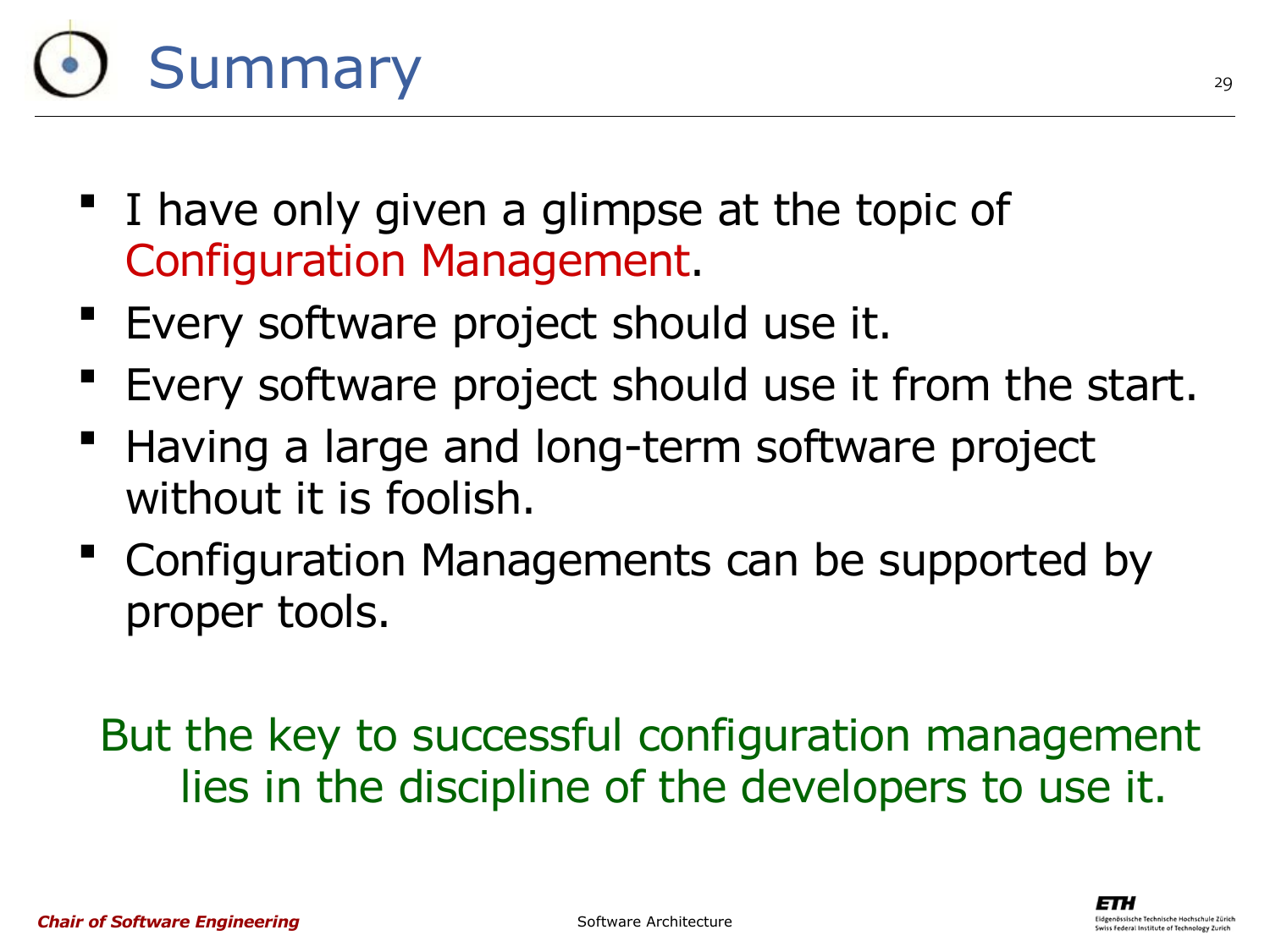# **Summary**

- I have only given a glimpse at the topic of Configuration Management.
- Every software project should use it.
- Every software project should use it from the start.
- Having a large and long-term software project without it is foolish.
- Configuration Managements can be supported by proper tools.

But the key to successful configuration management lies in the discipline of the developers to use it.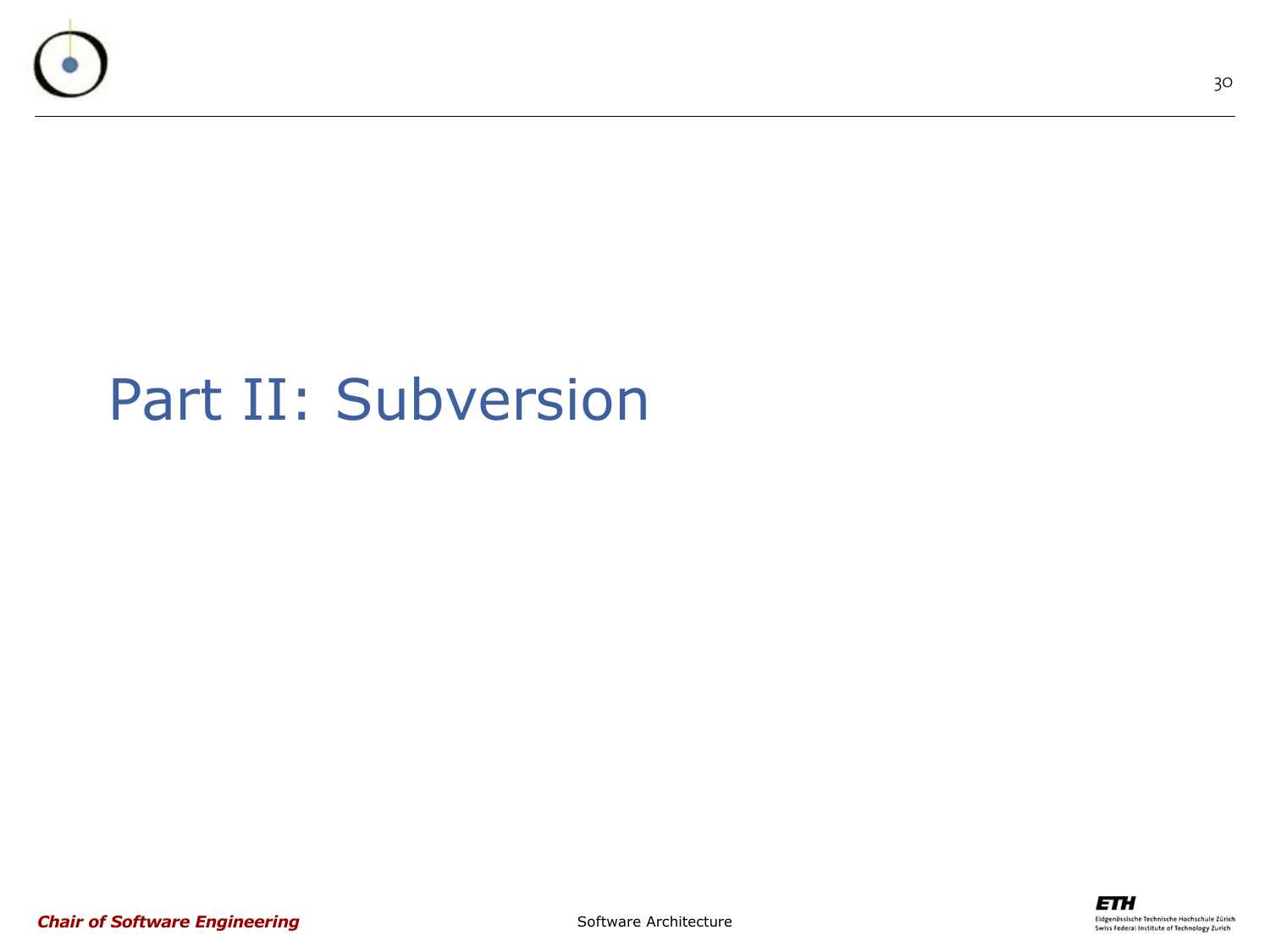

#### Part II: Subversion

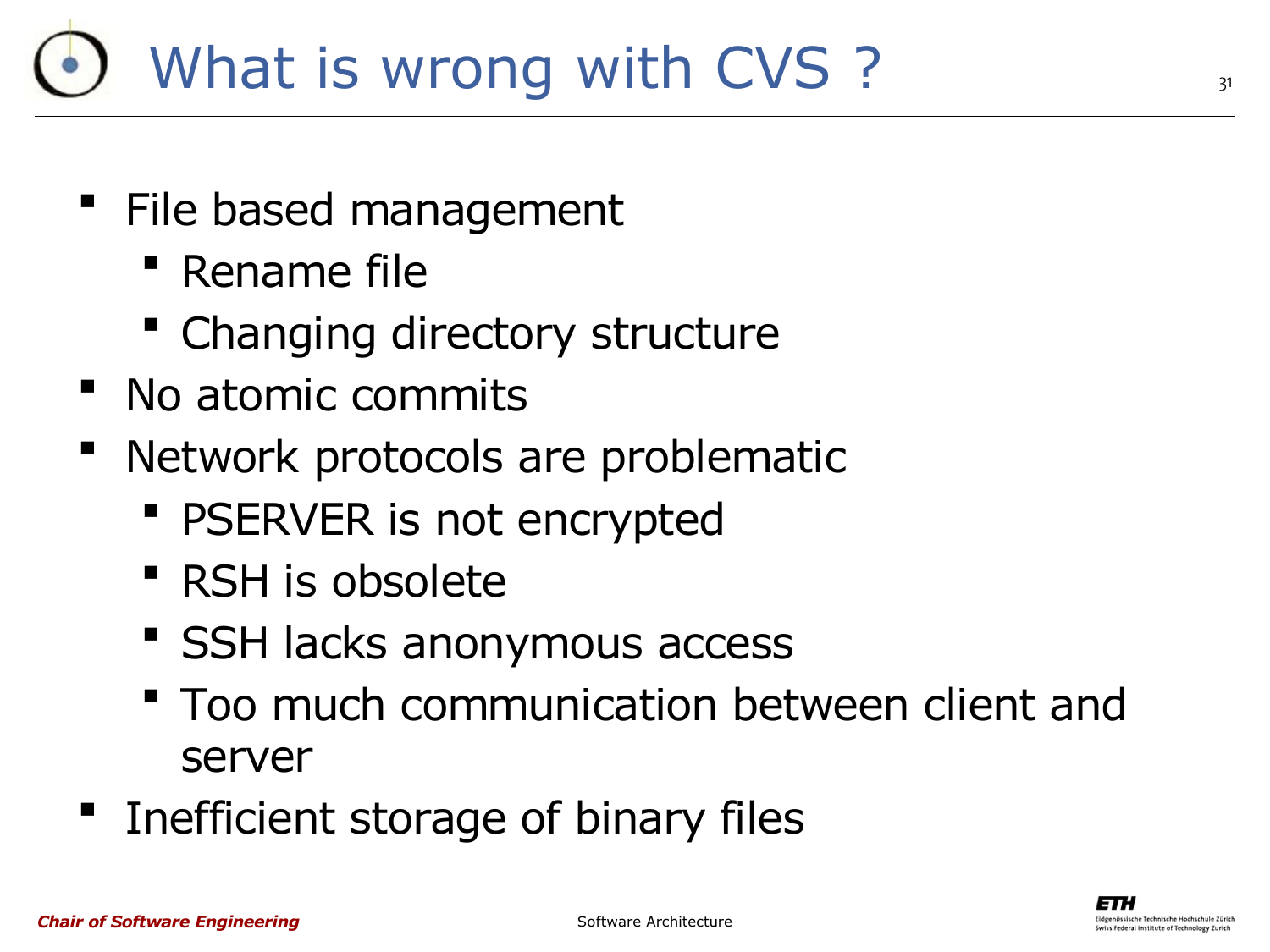### What is wrong with CVS ?

- " File based management
	- **Rename file**
	- Changing directory structure
- No atomic commits
- Network protocols are problematic
	- **PSERVER is not encrypted**
	- RSH is obsolete
	- **SSH lacks anonymous access**
	- **Too much communication between client and** server
- **Inefficient storage of binary files**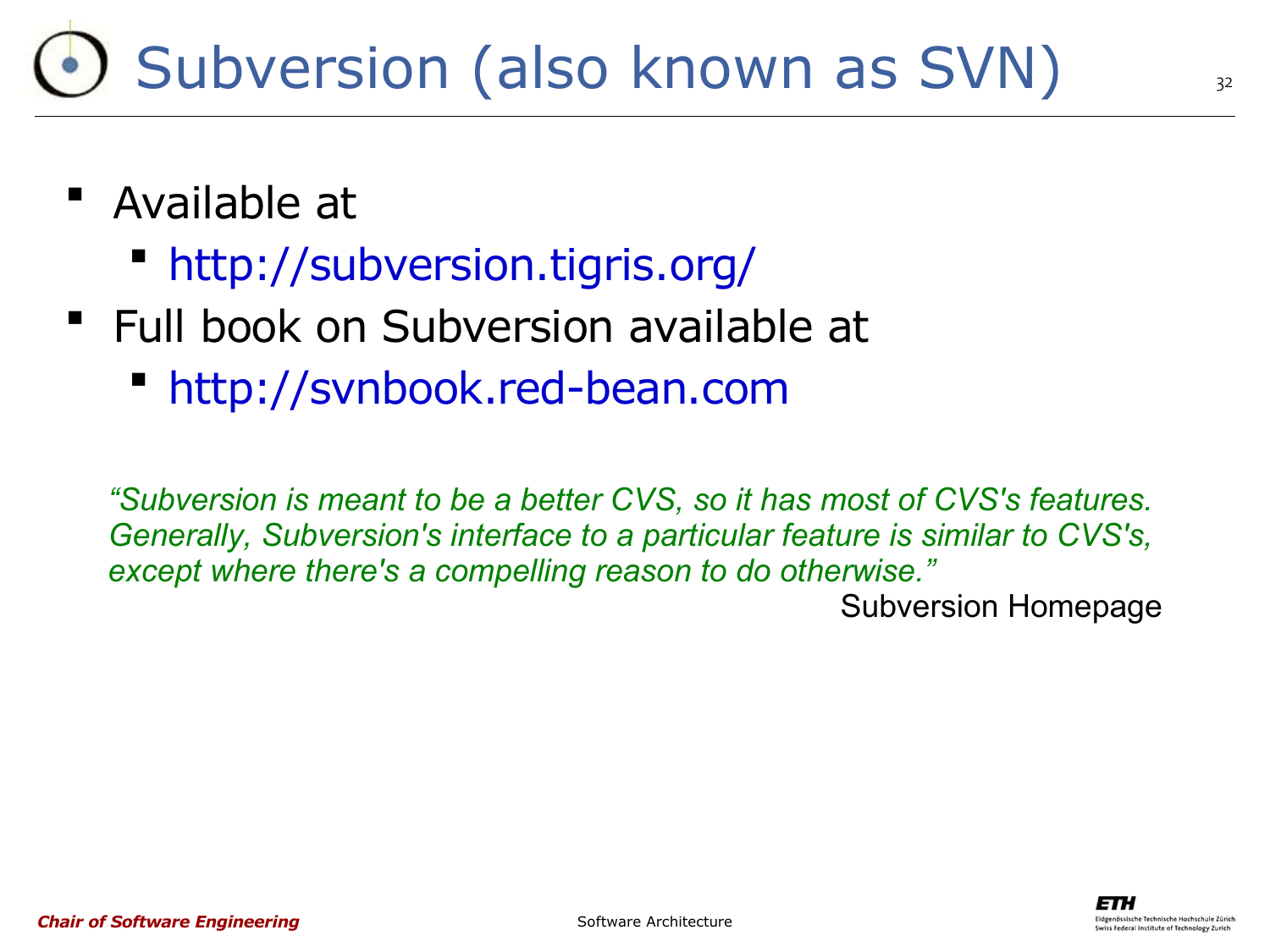### Subversion (also known as SVN)

- Available at
	- <http://subversion.tigris.org/>
- " Full book on Subversion available at
	- [http://svnbook.red-bean.com](http://svnbook.red-bean.com/)

*"Subversion is meant to be a better CVS, so it has most of CVS's features. Generally, Subversion's interface to a particular feature is similar to CVS's, except where there's a compelling reason to do otherwise."*

Subversion Homepage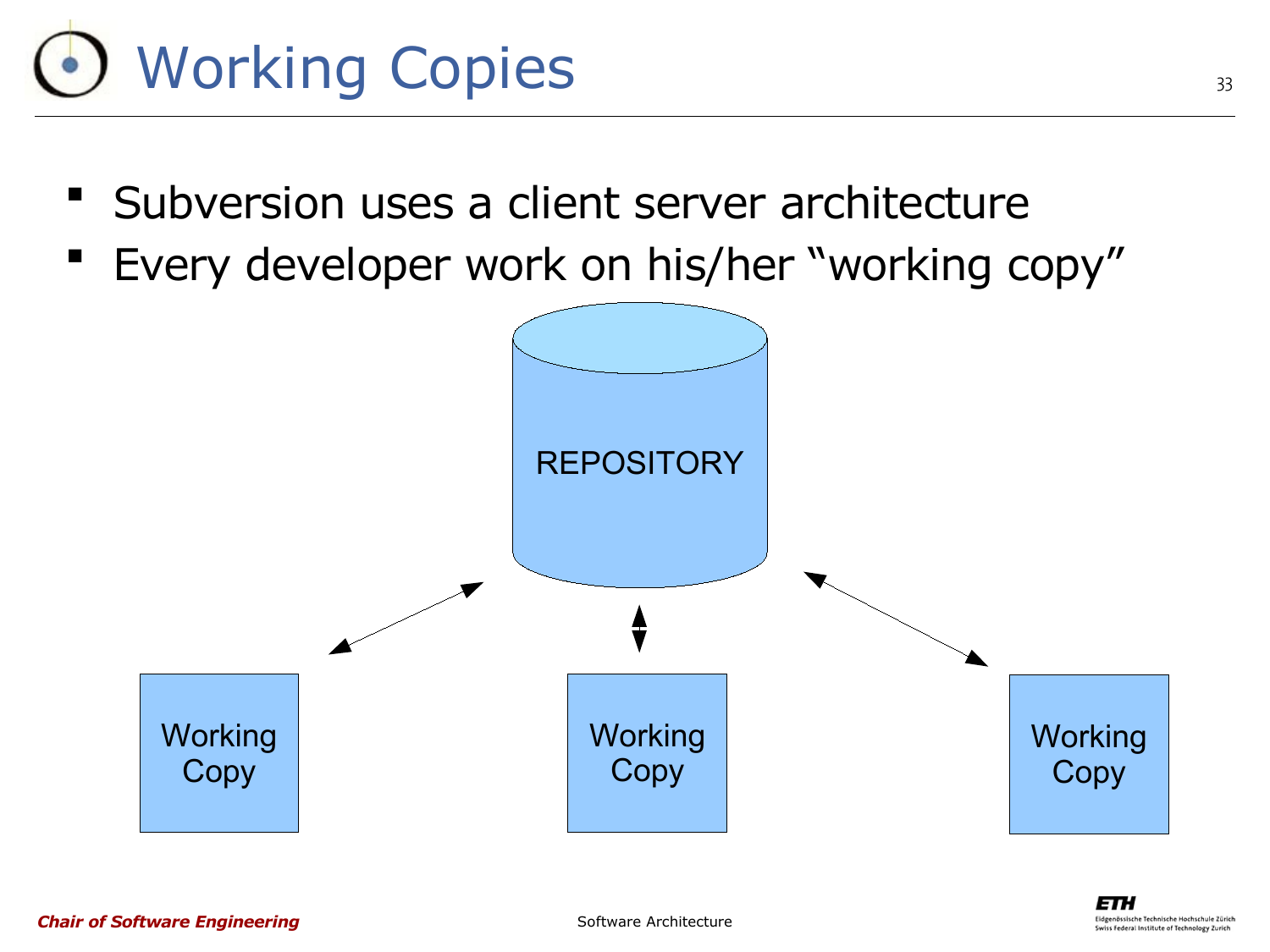

- **Subversion uses a client server architecture**
- Every developer work on his/her "working copy"

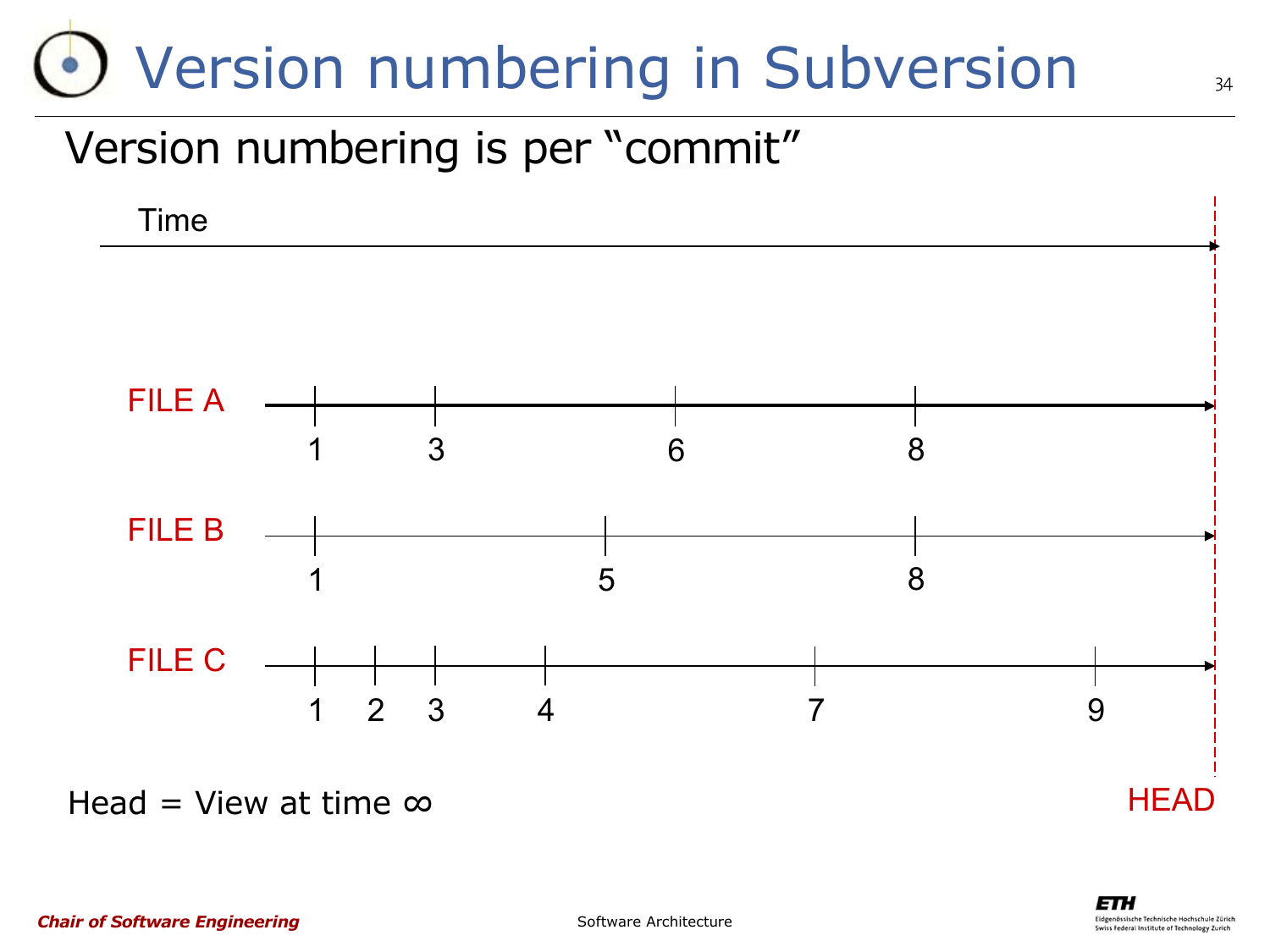### •) Version numbering in Subversion

#### Version numbering is per "commit"



Head = View at time  $\infty$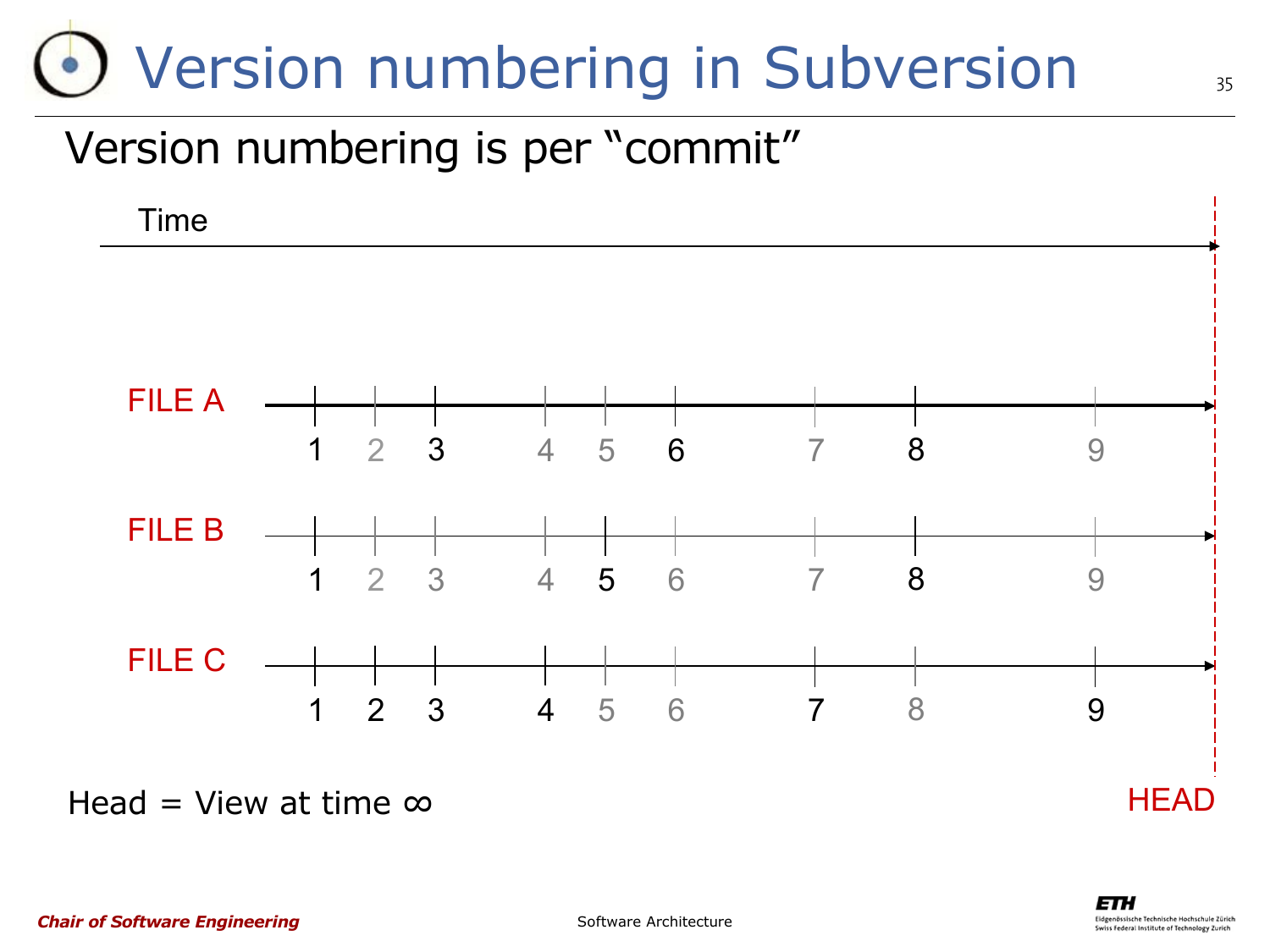### •) Version numbering in Subversion

#### Version numbering is per "commit"



Head = View at time  $\infty$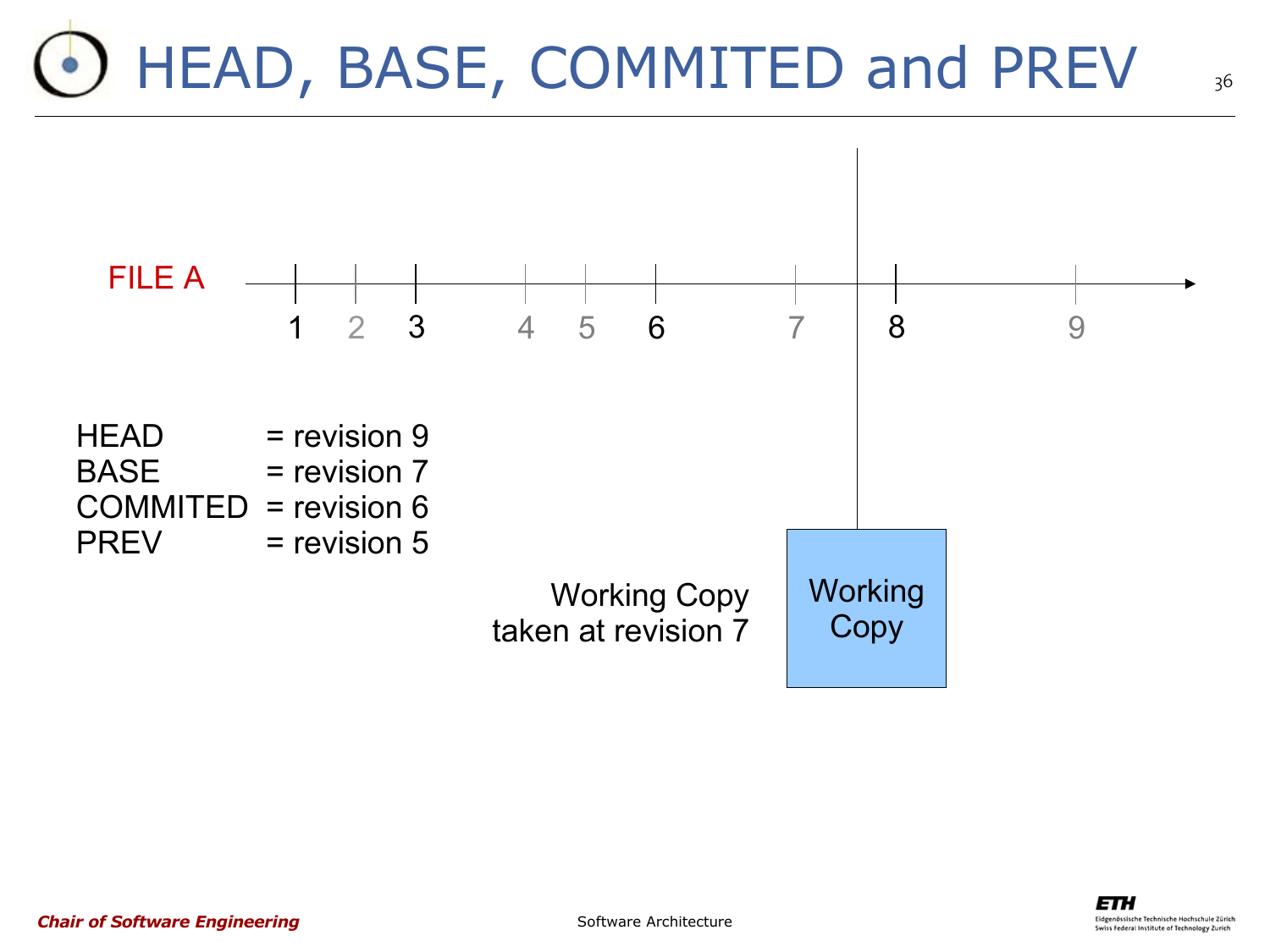## HEAD, BASE, COMMITED and PREV



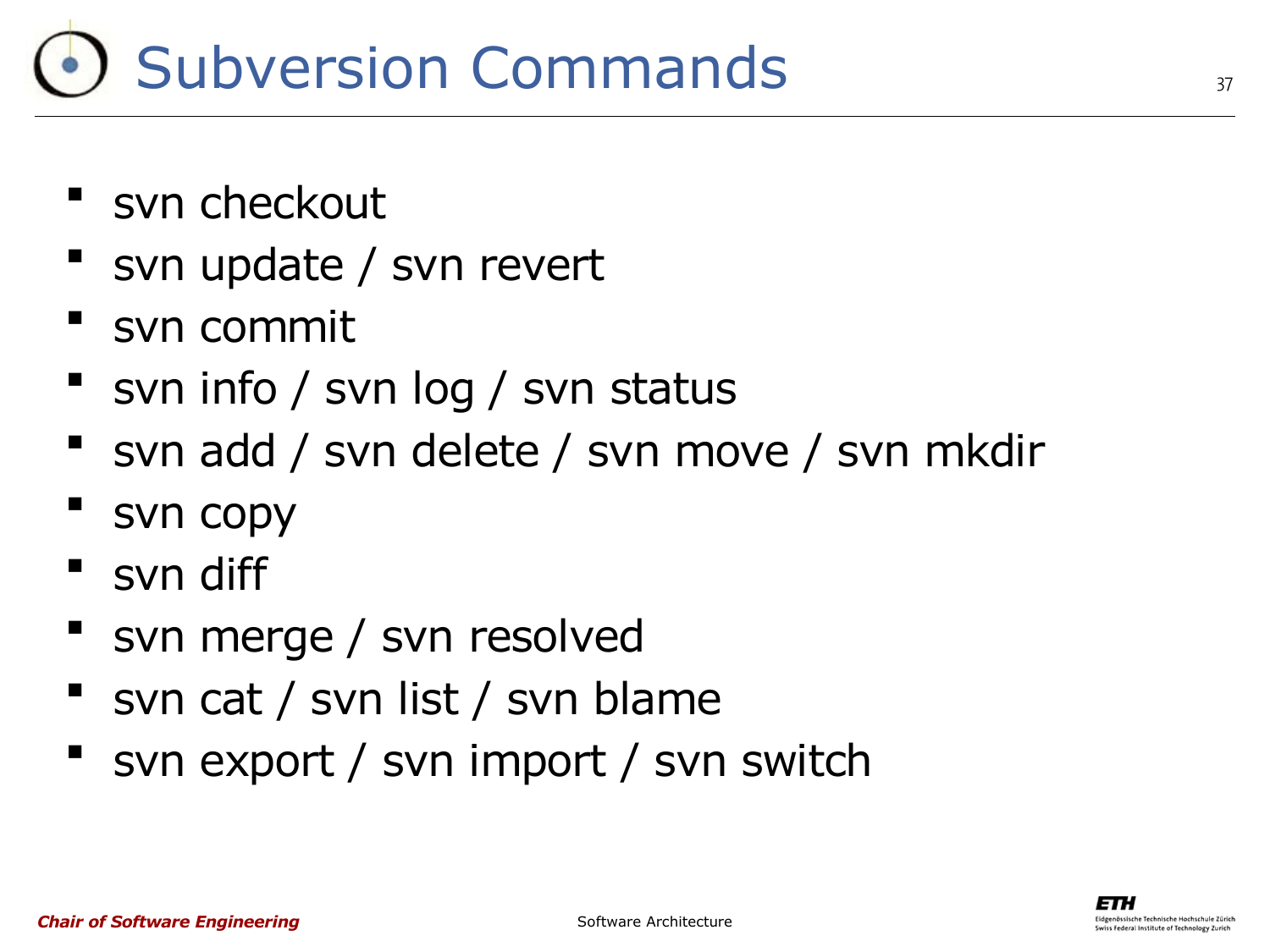### Subversion Commands

- **Syn checkout**
- svn update / svn revert
- svn commit
- svn info / svn log / svn status
- **S** svn add / svn delete / svn move / svn mkdir
- svn copy
- " svn diff
- svn merge / svn resolved
- svn cat / svn list / svn blame
- svn export / svn import / svn switch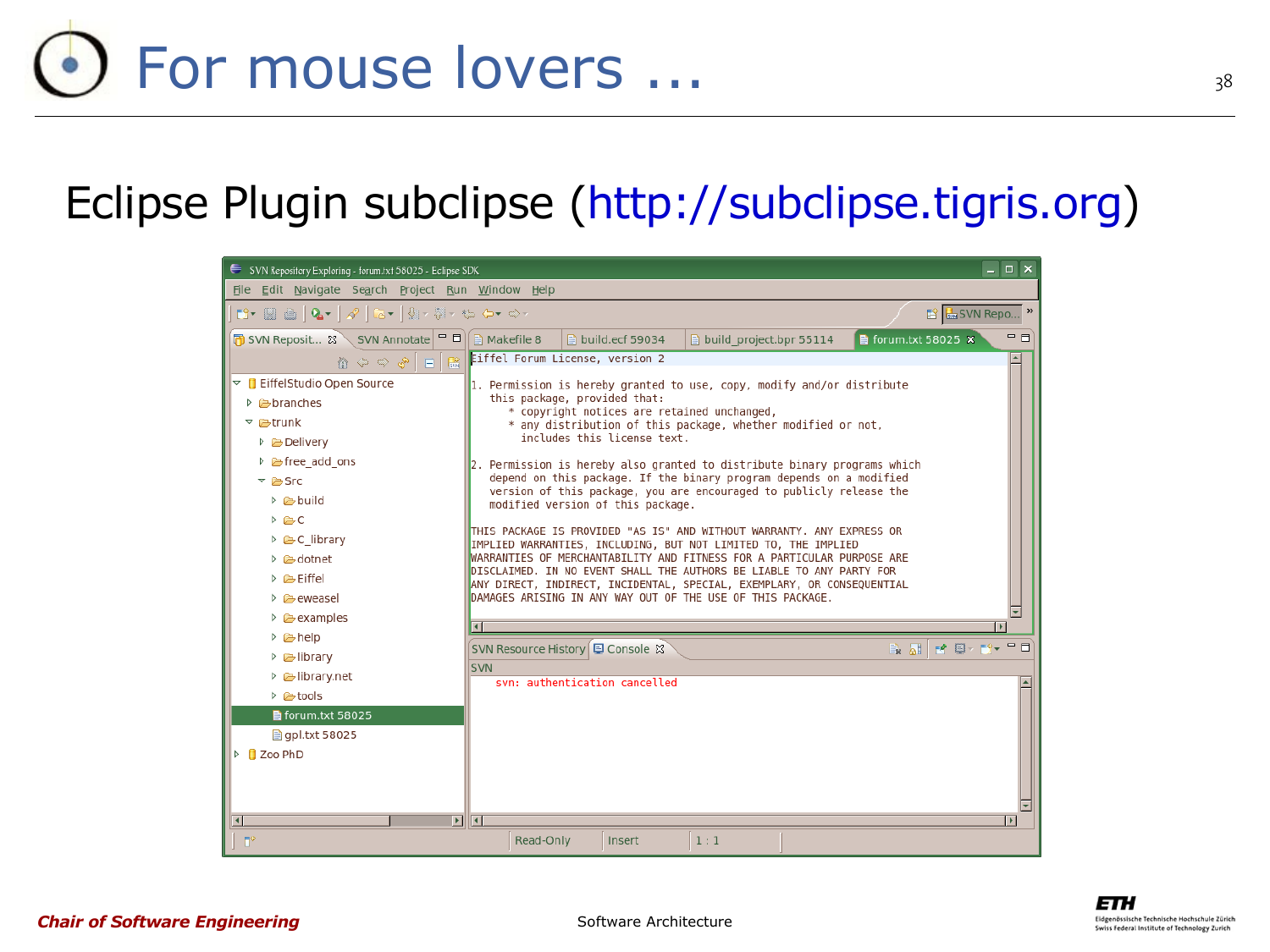#### Eclipse Plugin subclipse [\(http://subclipse.tigris.org\)](http://subclipse.tigris.org/)



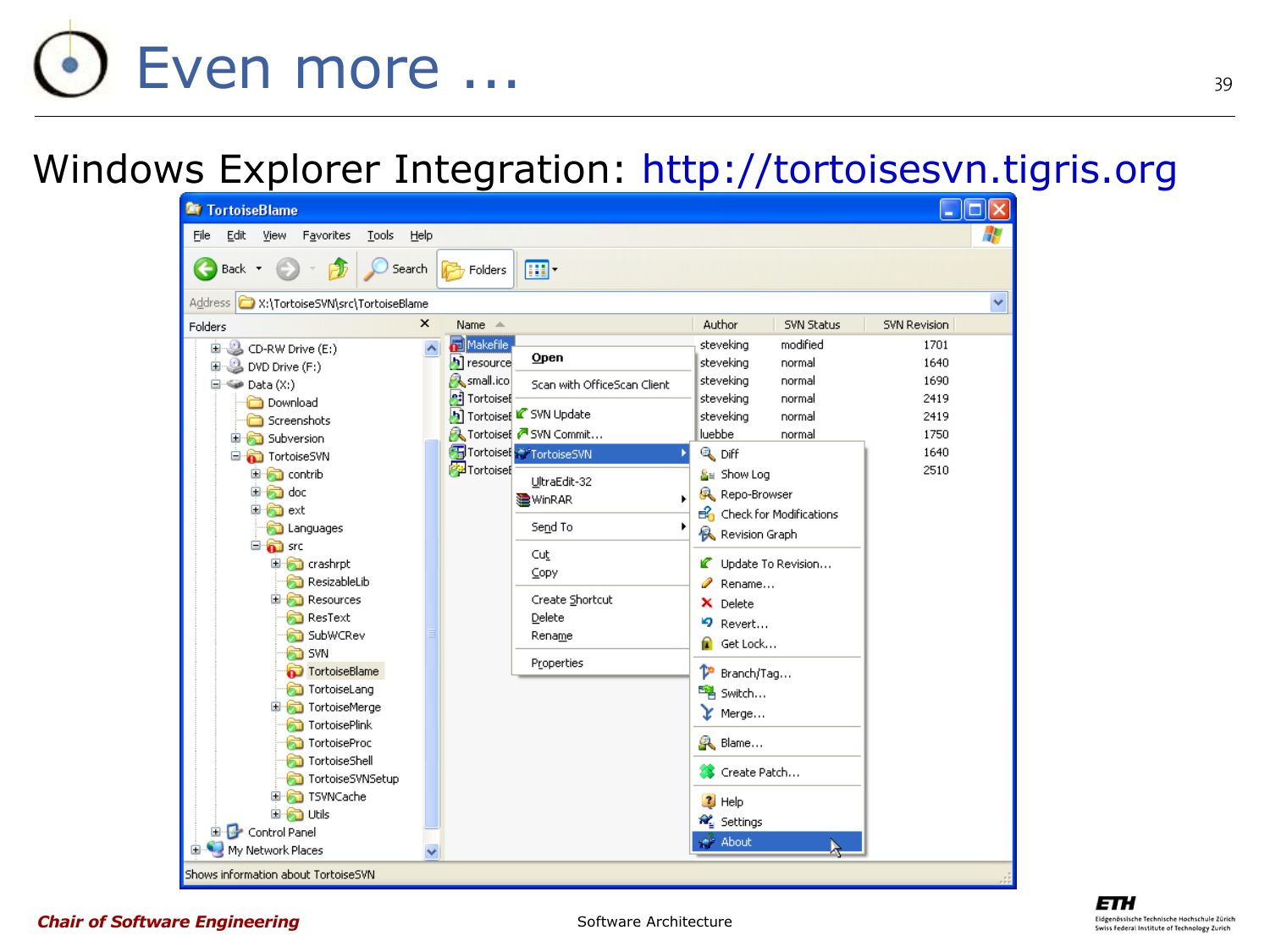# Even more ...

#### Windows Explorer Integration: [http://tortoisesvn.tigris.org](http://tortoisesvn.tigris.org/)





#### *Chair of Software Engineering*